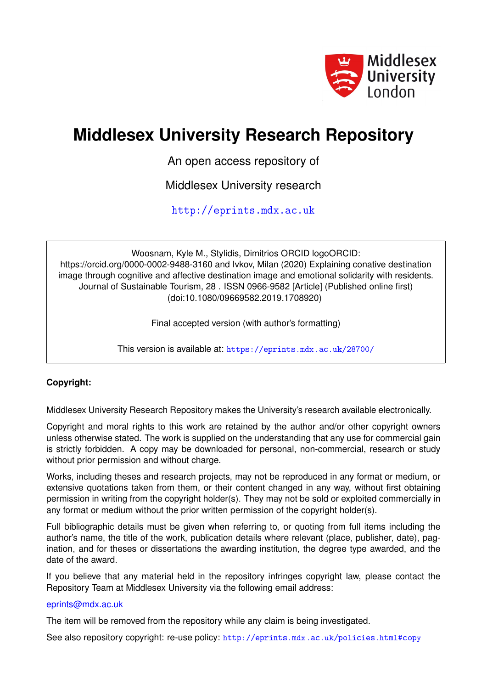

# **Middlesex University Research Repository**

An open access repository of

Middlesex University research

<http://eprints.mdx.ac.uk>

Woosnam, Kyle M., Stylidis, Dimitrios ORCID logoORCID: https://orcid.org/0000-0002-9488-3160 and Ivkov, Milan (2020) Explaining conative destination image through cognitive and affective destination image and emotional solidarity with residents. Journal of Sustainable Tourism, 28 . ISSN 0966-9582 [Article] (Published online first) (doi:10.1080/09669582.2019.1708920)

Final accepted version (with author's formatting)

This version is available at: <https://eprints.mdx.ac.uk/28700/>

# **Copyright:**

Middlesex University Research Repository makes the University's research available electronically.

Copyright and moral rights to this work are retained by the author and/or other copyright owners unless otherwise stated. The work is supplied on the understanding that any use for commercial gain is strictly forbidden. A copy may be downloaded for personal, non-commercial, research or study without prior permission and without charge.

Works, including theses and research projects, may not be reproduced in any format or medium, or extensive quotations taken from them, or their content changed in any way, without first obtaining permission in writing from the copyright holder(s). They may not be sold or exploited commercially in any format or medium without the prior written permission of the copyright holder(s).

Full bibliographic details must be given when referring to, or quoting from full items including the author's name, the title of the work, publication details where relevant (place, publisher, date), pagination, and for theses or dissertations the awarding institution, the degree type awarded, and the date of the award.

If you believe that any material held in the repository infringes copyright law, please contact the Repository Team at Middlesex University via the following email address:

# [eprints@mdx.ac.uk](mailto:eprints@mdx.ac.uk)

The item will be removed from the repository while any claim is being investigated.

See also repository copyright: re-use policy: <http://eprints.mdx.ac.uk/policies.html#copy>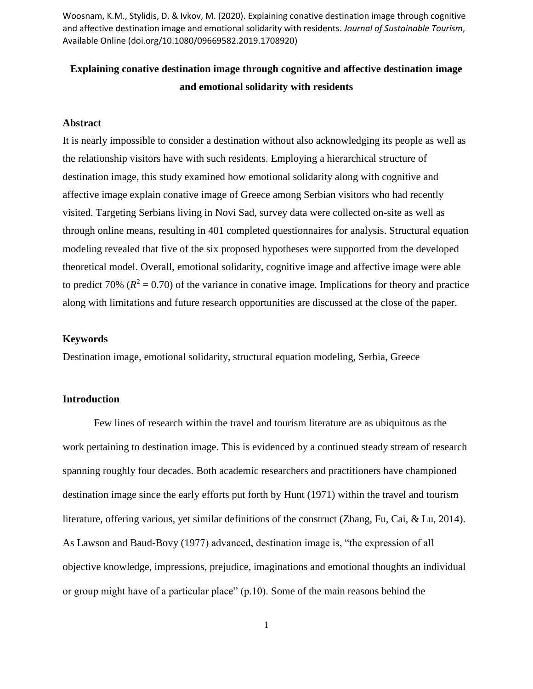# **Explaining conative destination image through cognitive and affective destination image and emotional solidarity with residents**

#### **Abstract**

It is nearly impossible to consider a destination without also acknowledging its people as well as the relationship visitors have with such residents. Employing a hierarchical structure of destination image, this study examined how emotional solidarity along with cognitive and affective image explain conative image of Greece among Serbian visitors who had recently visited. Targeting Serbians living in Novi Sad, survey data were collected on-site as well as through online means, resulting in 401 completed questionnaires for analysis. Structural equation modeling revealed that five of the six proposed hypotheses were supported from the developed theoretical model. Overall, emotional solidarity, cognitive image and affective image were able to predict 70% ( $R^2 = 0.70$ ) of the variance in conative image. Implications for theory and practice along with limitations and future research opportunities are discussed at the close of the paper.

#### **Keywords**

Destination image, emotional solidarity, structural equation modeling, Serbia, Greece

# **Introduction**

Few lines of research within the travel and tourism literature are as ubiquitous as the work pertaining to destination image. This is evidenced by a continued steady stream of research spanning roughly four decades. Both academic researchers and practitioners have championed destination image since the early efforts put forth by Hunt (1971) within the travel and tourism literature, offering various, yet similar definitions of the construct (Zhang, Fu, Cai, & Lu, 2014). As Lawson and Baud-Bovy (1977) advanced, destination image is, "the expression of all objective knowledge, impressions, prejudice, imaginations and emotional thoughts an individual or group might have of a particular place" (p.10). Some of the main reasons behind the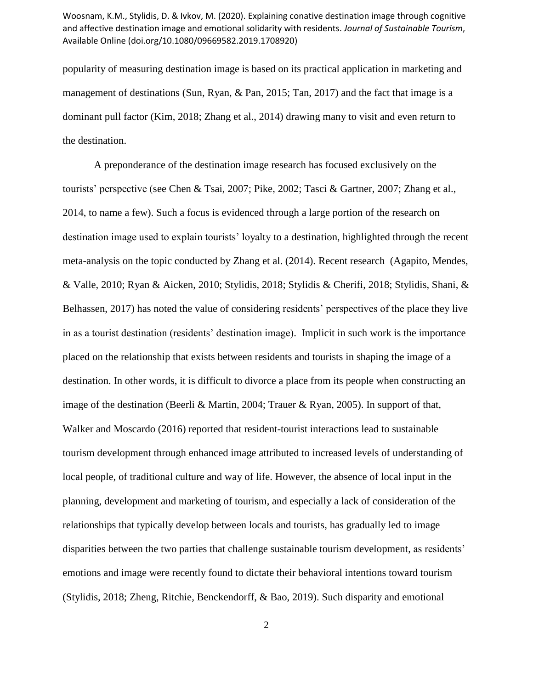popularity of measuring destination image is based on its practical application in marketing and management of destinations (Sun, Ryan, & Pan, 2015; Tan, 2017) and the fact that image is a dominant pull factor (Kim, 2018; Zhang et al., 2014) drawing many to visit and even return to the destination.

A preponderance of the destination image research has focused exclusively on the tourists' perspective (see Chen & Tsai, 2007; Pike, 2002; Tasci & Gartner, 2007; Zhang et al., 2014, to name a few). Such a focus is evidenced through a large portion of the research on destination image used to explain tourists' loyalty to a destination, highlighted through the recent meta-analysis on the topic conducted by Zhang et al. (2014). Recent research (Agapito, Mendes, & Valle, 2010; Ryan & Aicken, 2010; Stylidis, 2018; Stylidis & Cherifi, 2018; Stylidis, Shani, & Belhassen, 2017) has noted the value of considering residents' perspectives of the place they live in as a tourist destination (residents' destination image). Implicit in such work is the importance placed on the relationship that exists between residents and tourists in shaping the image of a destination. In other words, it is difficult to divorce a place from its people when constructing an image of the destination (Beerli & Martin, 2004; Trauer & Ryan, 2005). In support of that, Walker and Moscardo (2016) reported that resident-tourist interactions lead to sustainable tourism development through enhanced image attributed to increased levels of understanding of local people, of traditional culture and way of life. However, the absence of local input in the planning, development and marketing of tourism, and especially a lack of consideration of the relationships that typically develop between locals and tourists, has gradually led to image disparities between the two parties that challenge sustainable tourism development, as residents' emotions and image were recently found to dictate their behavioral intentions toward tourism (Stylidis, 2018; Zheng, Ritchie, Benckendorff, & Bao, 2019). Such disparity and emotional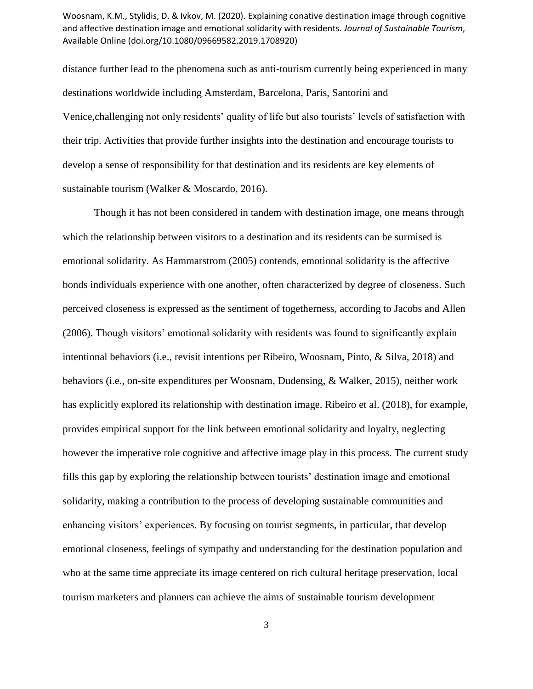distance further lead to the phenomena such as anti-tourism currently being experienced in many destinations worldwide including Amsterdam, Barcelona, Paris, Santorini and Venice,challenging not only residents' quality of life but also tourists' levels of satisfaction with their trip. Activities that provide further insights into the destination and encourage tourists to develop a sense of responsibility for that destination and its residents are key elements of sustainable tourism (Walker & Moscardo, 2016).

Though it has not been considered in tandem with destination image, one means through which the relationship between visitors to a destination and its residents can be surmised is emotional solidarity. As Hammarstrom (2005) contends, emotional solidarity is the affective bonds individuals experience with one another, often characterized by degree of closeness. Such perceived closeness is expressed as the sentiment of togetherness, according to Jacobs and Allen (2006). Though visitors' emotional solidarity with residents was found to significantly explain intentional behaviors (i.e., revisit intentions per Ribeiro, Woosnam, Pinto, & Silva, 2018) and behaviors (i.e., on-site expenditures per Woosnam, Dudensing, & Walker, 2015), neither work has explicitly explored its relationship with destination image. Ribeiro et al. (2018), for example, provides empirical support for the link between emotional solidarity and loyalty, neglecting however the imperative role cognitive and affective image play in this process. The current study fills this gap by exploring the relationship between tourists' destination image and emotional solidarity, making a contribution to the process of developing sustainable communities and enhancing visitors' experiences. By focusing on tourist segments, in particular, that develop emotional closeness, feelings of sympathy and understanding for the destination population and who at the same time appreciate its image centered on rich cultural heritage preservation, local tourism marketers and planners can achieve the aims of sustainable tourism development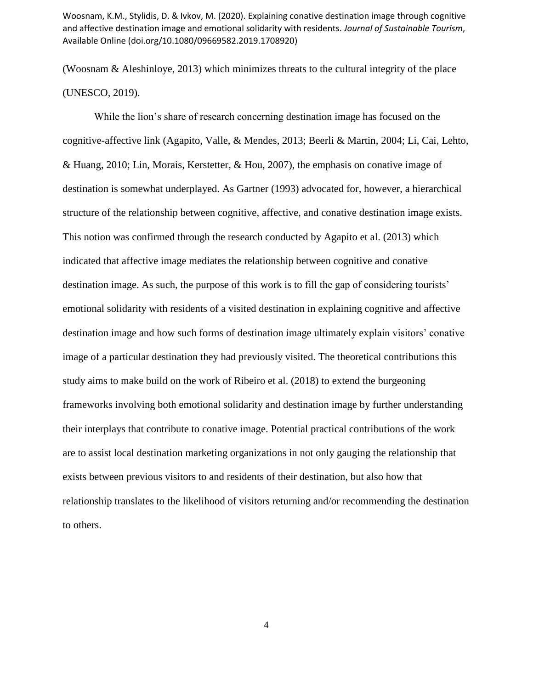(Woosnam & Aleshinloye, 2013) which minimizes threats to the cultural integrity of the place (UNESCO, 2019).

While the lion's share of research concerning destination image has focused on the cognitive-affective link (Agapito, Valle, & Mendes, 2013; Beerli & Martin, 2004; Li, Cai, Lehto, & Huang, 2010; Lin, Morais, Kerstetter, & Hou, 2007), the emphasis on conative image of destination is somewhat underplayed. As Gartner (1993) advocated for, however, a hierarchical structure of the relationship between cognitive, affective, and conative destination image exists. This notion was confirmed through the research conducted by Agapito et al. (2013) which indicated that affective image mediates the relationship between cognitive and conative destination image. As such, the purpose of this work is to fill the gap of considering tourists' emotional solidarity with residents of a visited destination in explaining cognitive and affective destination image and how such forms of destination image ultimately explain visitors' conative image of a particular destination they had previously visited. The theoretical contributions this study aims to make build on the work of Ribeiro et al. (2018) to extend the burgeoning frameworks involving both emotional solidarity and destination image by further understanding their interplays that contribute to conative image. Potential practical contributions of the work are to assist local destination marketing organizations in not only gauging the relationship that exists between previous visitors to and residents of their destination, but also how that relationship translates to the likelihood of visitors returning and/or recommending the destination to others.

4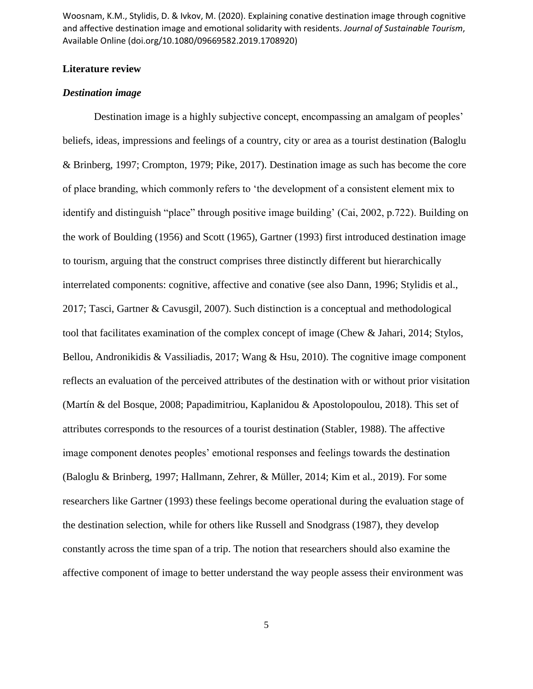# **Literature review**

### *Destination image*

Destination image is a highly subjective concept, encompassing an amalgam of peoples' beliefs, ideas, impressions and feelings of a country, city or area as a tourist destination (Baloglu & Brinberg, 1997; Crompton, 1979; Pike, 2017). Destination image as such has become the core of place branding, which commonly refers to 'the development of a consistent element mix to identify and distinguish "place" through positive image building' (Cai, 2002, p.722). Building on the work of Boulding (1956) and Scott (1965), Gartner (1993) first introduced destination image to tourism, arguing that the construct comprises three distinctly different but hierarchically interrelated components: cognitive, affective and conative (see also Dann, 1996; Stylidis et al., 2017; Tasci, Gartner & Cavusgil, 2007). Such distinction is a conceptual and methodological tool that facilitates examination of the complex concept of image (Chew & Jahari, 2014; Stylos, Bellou, Andronikidis & Vassiliadis, 2017; Wang & Hsu, 2010). The cognitive image component reflects an evaluation of the perceived attributes of the destination with or without prior visitation (Martín & del Bosque, 2008; Papadimitriou, Kaplanidou & Apostolopoulou, 2018). This set of attributes corresponds to the resources of a tourist destination (Stabler, 1988). The affective image component denotes peoples' emotional responses and feelings towards the destination (Baloglu & Brinberg, 1997; Hallmann, Zehrer, & Müller, 2014; Kim et al., 2019). For some researchers like Gartner (1993) these feelings become operational during the evaluation stage of the destination selection, while for others like Russell and Snodgrass (1987), they develop constantly across the time span of a trip. The notion that researchers should also examine the affective component of image to better understand the way people assess their environment was

5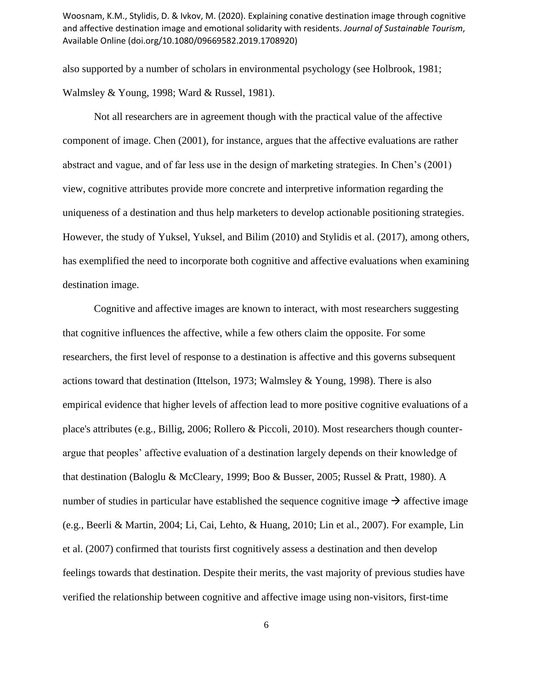also supported by a number of scholars in environmental psychology (see Holbrook, 1981; Walmsley & Young, 1998; Ward & Russel, 1981).

Not all researchers are in agreement though with the practical value of the affective component of image. Chen (2001), for instance, argues that the affective evaluations are rather abstract and vague, and of far less use in the design of marketing strategies. In Chen's (2001) view, cognitive attributes provide more concrete and interpretive information regarding the uniqueness of a destination and thus help marketers to develop actionable positioning strategies. However, the study of Yuksel, Yuksel, and Bilim (2010) and Stylidis et al. (2017), among others, has exemplified the need to incorporate both cognitive and affective evaluations when examining destination image.

Cognitive and affective images are known to interact, with most researchers suggesting that cognitive influences the affective, while a few others claim the opposite. For some researchers, the first level of response to a destination is affective and this governs subsequent actions toward that destination (Ittelson, 1973; Walmsley & Young, 1998). There is also empirical evidence that higher levels of affection lead to more positive cognitive evaluations of a place's attributes (e.g., Billig, 2006; Rollero & Piccoli, 2010). Most researchers though counterargue that peoples' affective evaluation of a destination largely depends on their knowledge of that destination (Baloglu & McCleary, 1999; Boo & Busser, 2005; Russel & Pratt, 1980). A number of studies in particular have established the sequence cognitive image  $\rightarrow$  affective image (e.g., Beerli & Martin, 2004; Li, Cai, Lehto, & Huang, 2010; Lin et al., 2007). For example, Lin et al. (2007) confirmed that tourists first cognitively assess a destination and then develop feelings towards that destination. Despite their merits, the vast majority of previous studies have verified the relationship between cognitive and affective image using non-visitors, first-time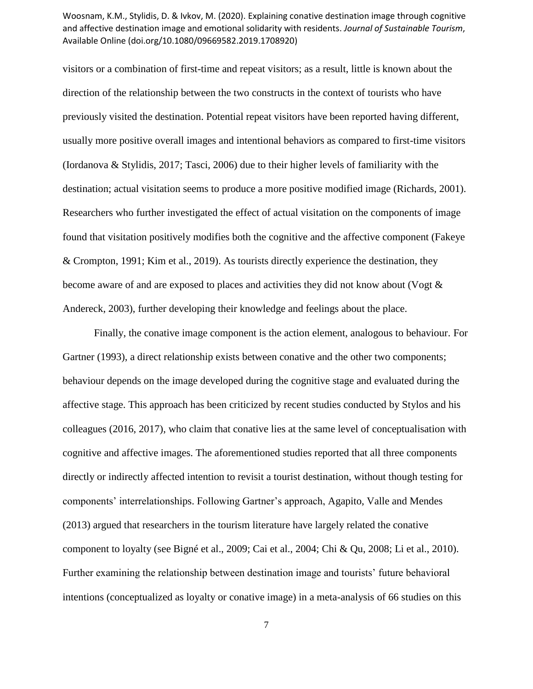visitors or a combination of first-time and repeat visitors; as a result, little is known about the direction of the relationship between the two constructs in the context of tourists who have previously visited the destination. Potential repeat visitors have been reported having different, usually more positive overall images and intentional behaviors as compared to first-time visitors (Iordanova & Stylidis, 2017; Tasci, 2006) due to their higher levels of familiarity with the destination; actual visitation seems to produce a more positive modified image (Richards, 2001). Researchers who further investigated the effect of actual visitation on the components of image found that visitation positively modifies both the cognitive and the affective component (Fakeye & Crompton, 1991; Kim et al., 2019). As tourists directly experience the destination, they become aware of and are exposed to places and activities they did not know about (Vogt & Andereck, 2003), further developing their knowledge and feelings about the place.

Finally, the conative image component is the action element, analogous to behaviour. For Gartner (1993), a direct relationship exists between conative and the other two components; behaviour depends on the image developed during the cognitive stage and evaluated during the affective stage. This approach has been criticized by recent studies conducted by Stylos and his colleagues (2016, 2017), who claim that conative lies at the same level of conceptualisation with cognitive and affective images. The aforementioned studies reported that all three components directly or indirectly affected intention to revisit a tourist destination, without though testing for components' interrelationships. Following Gartner's approach, Agapito, Valle and Mendes (2013) argued that researchers in the tourism literature have largely related the conative component to loyalty (see Bigné et al., 2009; Cai et al., 2004; Chi & Qu, 2008; Li et al., 2010). Further examining the relationship between destination image and tourists' future behavioral intentions (conceptualized as loyalty or conative image) in a meta-analysis of 66 studies on this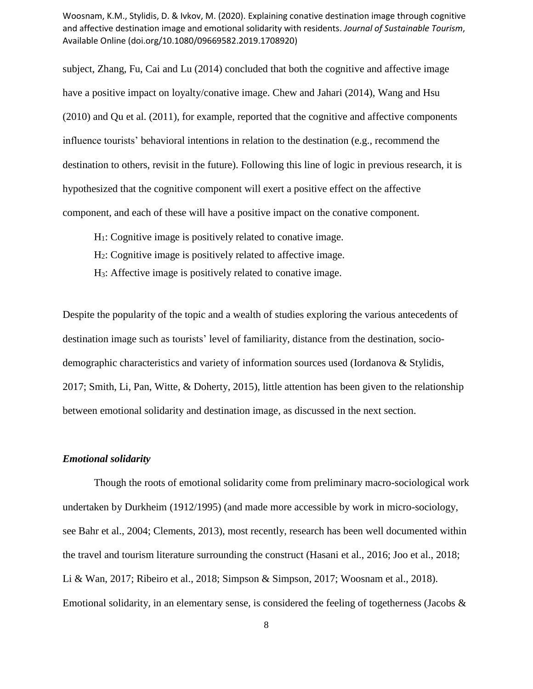subject, Zhang, Fu, Cai and Lu (2014) concluded that both the cognitive and affective image have a positive impact on loyalty/conative image. Chew and Jahari (2014), Wang and Hsu (2010) and Qu et al. (2011), for example, reported that the cognitive and affective components influence tourists' behavioral intentions in relation to the destination (e.g., recommend the destination to others, revisit in the future). Following this line of logic in previous research, it is hypothesized that the cognitive component will exert a positive effect on the affective component, and each of these will have a positive impact on the conative component.

- $H<sub>1</sub>$ : Cognitive image is positively related to conative image.
- H2: Cognitive image is positively related to affective image.
- H3: Affective image is positively related to conative image.

Despite the popularity of the topic and a wealth of studies exploring the various antecedents of destination image such as tourists' level of familiarity, distance from the destination, sociodemographic characteristics and variety of information sources used (Iordanova & Stylidis, 2017; Smith, Li, Pan, Witte, & Doherty, 2015), little attention has been given to the relationship between emotional solidarity and destination image, as discussed in the next section.

#### *Emotional solidarity*

Though the roots of emotional solidarity come from preliminary macro-sociological work undertaken by Durkheim (1912/1995) (and made more accessible by work in micro-sociology, see Bahr et al., 2004; Clements, 2013), most recently, research has been well documented within the travel and tourism literature surrounding the construct (Hasani et al., 2016; Joo et al., 2018; Li & Wan, 2017; Ribeiro et al., 2018; Simpson & Simpson, 2017; Woosnam et al., 2018). Emotional solidarity, in an elementary sense, is considered the feeling of togetherness (Jacobs &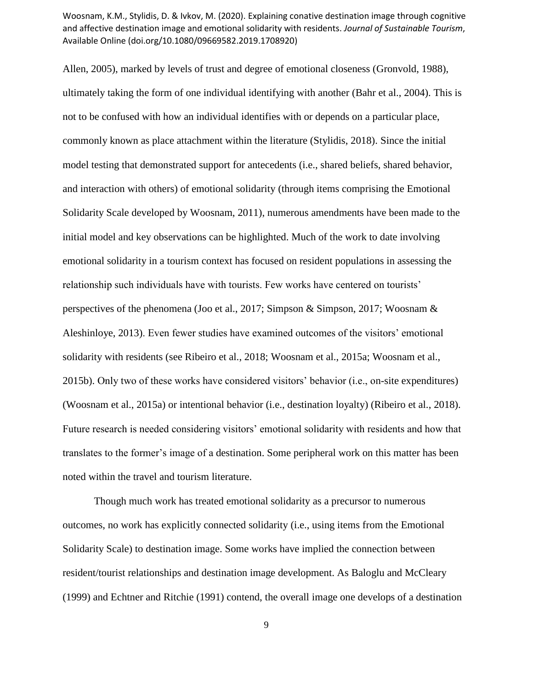Allen, 2005), marked by levels of trust and degree of emotional closeness (Gronvold, 1988), ultimately taking the form of one individual identifying with another (Bahr et al., 2004). This is not to be confused with how an individual identifies with or depends on a particular place, commonly known as place attachment within the literature (Stylidis, 2018). Since the initial model testing that demonstrated support for antecedents (i.e., shared beliefs, shared behavior, and interaction with others) of emotional solidarity (through items comprising the Emotional Solidarity Scale developed by Woosnam, 2011), numerous amendments have been made to the initial model and key observations can be highlighted. Much of the work to date involving emotional solidarity in a tourism context has focused on resident populations in assessing the relationship such individuals have with tourists. Few works have centered on tourists' perspectives of the phenomena (Joo et al., 2017; Simpson & Simpson, 2017; Woosnam & Aleshinloye, 2013). Even fewer studies have examined outcomes of the visitors' emotional solidarity with residents (see Ribeiro et al., 2018; Woosnam et al., 2015a; Woosnam et al., 2015b). Only two of these works have considered visitors' behavior (i.e., on-site expenditures) (Woosnam et al., 2015a) or intentional behavior (i.e., destination loyalty) (Ribeiro et al., 2018). Future research is needed considering visitors' emotional solidarity with residents and how that translates to the former's image of a destination. Some peripheral work on this matter has been noted within the travel and tourism literature.

Though much work has treated emotional solidarity as a precursor to numerous outcomes, no work has explicitly connected solidarity (i.e., using items from the Emotional Solidarity Scale) to destination image. Some works have implied the connection between resident/tourist relationships and destination image development. As Baloglu and McCleary (1999) and Echtner and Ritchie (1991) contend, the overall image one develops of a destination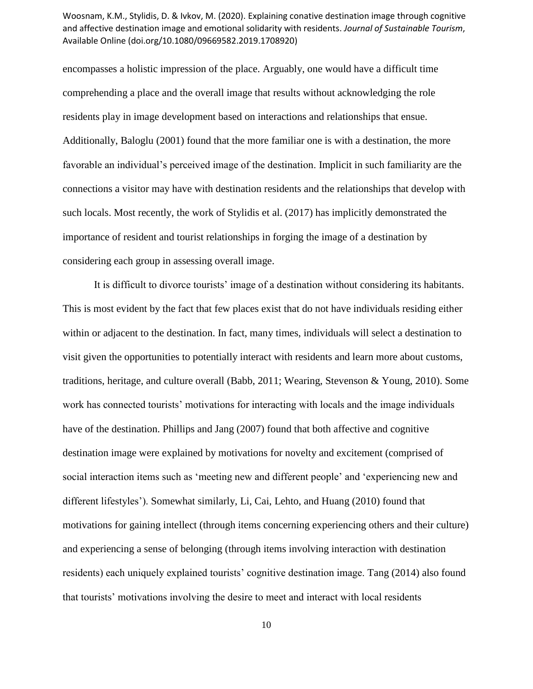encompasses a holistic impression of the place. Arguably, one would have a difficult time comprehending a place and the overall image that results without acknowledging the role residents play in image development based on interactions and relationships that ensue. Additionally, Baloglu (2001) found that the more familiar one is with a destination, the more favorable an individual's perceived image of the destination. Implicit in such familiarity are the connections a visitor may have with destination residents and the relationships that develop with such locals. Most recently, the work of Stylidis et al. (2017) has implicitly demonstrated the importance of resident and tourist relationships in forging the image of a destination by considering each group in assessing overall image.

It is difficult to divorce tourists' image of a destination without considering its habitants. This is most evident by the fact that few places exist that do not have individuals residing either within or adjacent to the destination. In fact, many times, individuals will select a destination to visit given the opportunities to potentially interact with residents and learn more about customs, traditions, heritage, and culture overall (Babb, 2011; Wearing, Stevenson & Young, 2010). Some work has connected tourists' motivations for interacting with locals and the image individuals have of the destination. Phillips and Jang (2007) found that both affective and cognitive destination image were explained by motivations for novelty and excitement (comprised of social interaction items such as 'meeting new and different people' and 'experiencing new and different lifestyles'). Somewhat similarly, Li, Cai, Lehto, and Huang (2010) found that motivations for gaining intellect (through items concerning experiencing others and their culture) and experiencing a sense of belonging (through items involving interaction with destination residents) each uniquely explained tourists' cognitive destination image. Tang (2014) also found that tourists' motivations involving the desire to meet and interact with local residents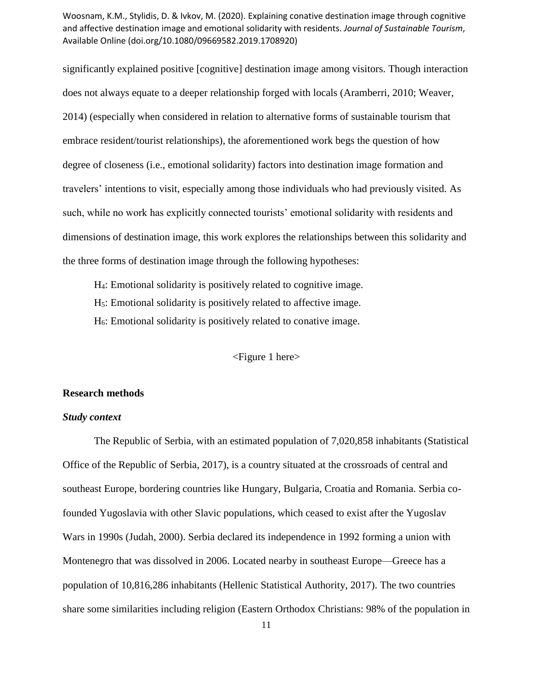significantly explained positive [cognitive] destination image among visitors. Though interaction does not always equate to a deeper relationship forged with locals (Aramberri, 2010; Weaver, 2014) (especially when considered in relation to alternative forms of sustainable tourism that embrace resident/tourist relationships), the aforementioned work begs the question of how degree of closeness (i.e., emotional solidarity) factors into destination image formation and travelers' intentions to visit, especially among those individuals who had previously visited. As such, while no work has explicitly connected tourists' emotional solidarity with residents and dimensions of destination image, this work explores the relationships between this solidarity and the three forms of destination image through the following hypotheses:

H4: Emotional solidarity is positively related to cognitive image.

H5: Emotional solidarity is positively related to affective image.

H6: Emotional solidarity is positively related to conative image.

<Figure 1 here>

#### **Research methods**

# *Study context*

The Republic of Serbia, with an estimated population of 7,020,858 inhabitants (Statistical Office of the Republic of Serbia, 2017), is a country situated at the crossroads of central and southeast Europe, bordering countries like Hungary, Bulgaria, Croatia and Romania. Serbia cofounded Yugoslavia with other Slavic populations, which ceased to exist after the Yugoslav Wars in 1990s (Judah, 2000). Serbia declared its independence in 1992 forming a union with Montenegro that was dissolved in 2006. Located nearby in southeast Europe—Greece has a population of 10,816,286 inhabitants (Hellenic Statistical Authority, 2017). The two countries share some similarities including religion (Eastern Orthodox Christians: 98% of the population in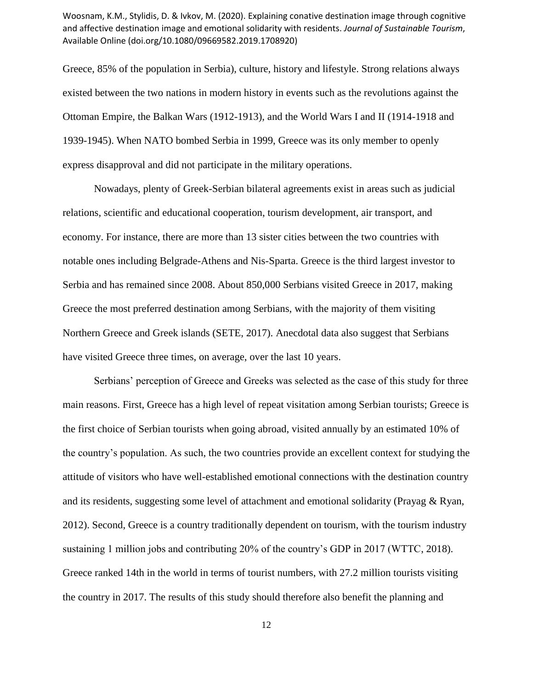Greece, 85% of the population in Serbia), culture, history and lifestyle. Strong relations always existed between the two nations in modern history in events such as the revolutions against the Ottoman Empire, the Balkan Wars (1912-1913), and the World Wars I and II (1914-1918 and 1939-1945). When NATO bombed Serbia in 1999, Greece was its only member to openly express disapproval and did not participate in the military operations.

Nowadays, plenty of Greek-Serbian bilateral agreements exist in areas such as judicial relations, scientific and educational cooperation, tourism development, air transport, and economy. For instance, there are more than 13 sister cities between the two countries with notable ones including Belgrade-Athens and Nis-Sparta. Greece is the third largest investor to Serbia and has remained since 2008. About 850,000 Serbians visited Greece in 2017, making Greece the most preferred destination among Serbians, with the majority of them visiting Northern Greece and Greek islands (SETE, 2017). Anecdotal data also suggest that Serbians have visited Greece three times, on average, over the last 10 years.

Serbians' perception of Greece and Greeks was selected as the case of this study for three main reasons. First, Greece has a high level of repeat visitation among Serbian tourists; Greece is the first choice of Serbian tourists when going abroad, visited annually by an estimated 10% of the country's population. As such, the two countries provide an excellent context for studying the attitude of visitors who have well-established emotional connections with the destination country and its residents, suggesting some level of attachment and emotional solidarity (Prayag & Ryan, 2012). Second, Greece is a country traditionally dependent on tourism, with the tourism industry sustaining 1 million jobs and contributing 20% of the country's GDP in 2017 (WTTC, 2018). Greece ranked 14th in the world in terms of tourist numbers, with 27.2 million tourists visiting the country in 2017. The results of this study should therefore also benefit the planning and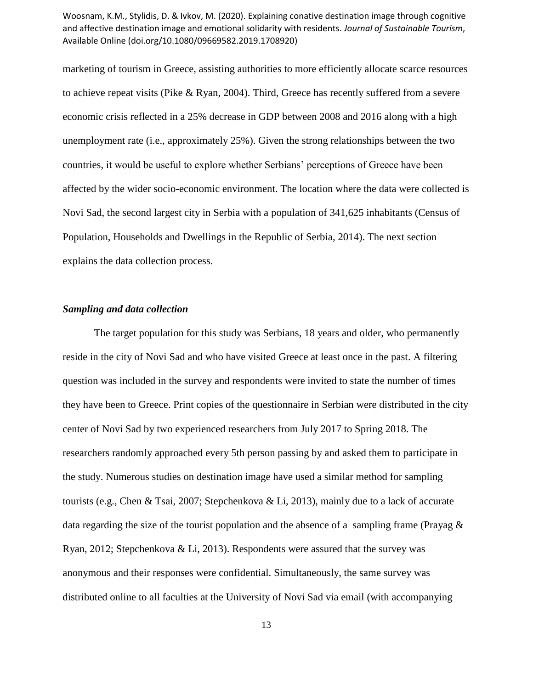marketing of tourism in Greece, assisting authorities to more efficiently allocate scarce resources to achieve repeat visits (Pike & Ryan, 2004). Third, Greece has recently suffered from a severe economic crisis reflected in a 25% decrease in GDP between 2008 and 2016 along with a high unemployment rate (i.e., approximately 25%). Given the strong relationships between the two countries, it would be useful to explore whether Serbians' perceptions of Greece have been affected by the wider socio-economic environment. The location where the data were collected is Novi Sad, the second largest city in Serbia with a population of 341,625 inhabitants (Census of Population, Households and Dwellings in the Republic of Serbia, 2014). The next section explains the data collection process.

# *Sampling and data collection*

The target population for this study was Serbians, 18 years and older, who permanently reside in the city of Novi Sad and who have visited Greece at least once in the past. A filtering question was included in the survey and respondents were invited to state the number of times they have been to Greece. Print copies of the questionnaire in Serbian were distributed in the city center of Novi Sad by two experienced researchers from July 2017 to Spring 2018. The researchers randomly approached every 5th person passing by and asked them to participate in the study. Numerous studies on destination image have used a similar method for sampling tourists (e.g., Chen & Tsai, 2007; Stepchenkova & Li, 2013), mainly due to a lack of accurate data regarding the size of the tourist population and the absence of a sampling frame (Prayag  $\&$ Ryan, 2012; Stepchenkova & Li, 2013). Respondents were assured that the survey was anonymous and their responses were confidential. Simultaneously, the same survey was distributed online to all faculties at the University of Novi Sad via email (with accompanying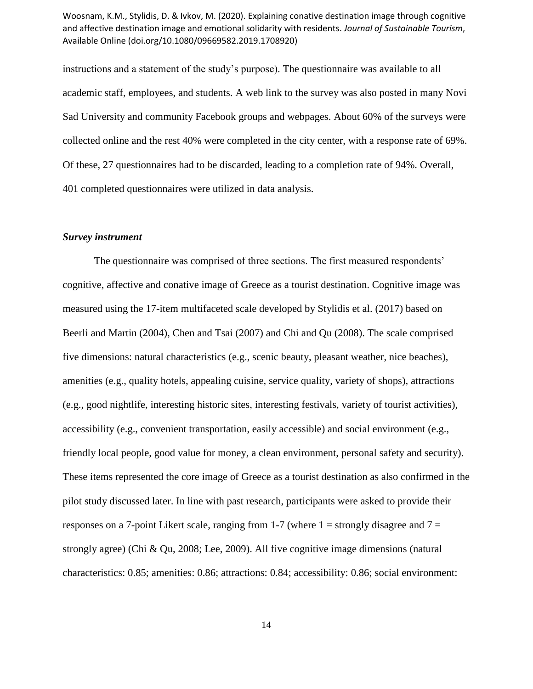instructions and a statement of the study's purpose). The questionnaire was available to all academic staff, employees, and students. A web link to the survey was also posted in many Novi Sad University and community Facebook groups and webpages. About 60% of the surveys were collected online and the rest 40% were completed in the city center, with a response rate of 69%. Of these, 27 questionnaires had to be discarded, leading to a completion rate of 94%. Overall, 401 completed questionnaires were utilized in data analysis.

#### *Survey instrument*

The questionnaire was comprised of three sections. The first measured respondents' cognitive, affective and conative image of Greece as a tourist destination. Cognitive image was measured using the 17-item multifaceted scale developed by Stylidis et al. (2017) based on Beerli and Martin (2004), Chen and Tsai (2007) and Chi and Qu (2008). The scale comprised five dimensions: natural characteristics (e.g., scenic beauty, pleasant weather, nice beaches), amenities (e.g., quality hotels, appealing cuisine, service quality, variety of shops), attractions (e.g., good nightlife, interesting historic sites, interesting festivals, variety of tourist activities), accessibility (e.g., convenient transportation, easily accessible) and social environment (e.g., friendly local people, good value for money, a clean environment, personal safety and security). These items represented the core image of Greece as a tourist destination as also confirmed in the pilot study discussed later. In line with past research, participants were asked to provide their responses on a 7-point Likert scale, ranging from 1-7 (where  $1 =$  strongly disagree and  $7 =$ strongly agree) (Chi & Qu, 2008; Lee, 2009). All five cognitive image dimensions (natural characteristics: 0.85; amenities: 0.86; attractions: 0.84; accessibility: 0.86; social environment: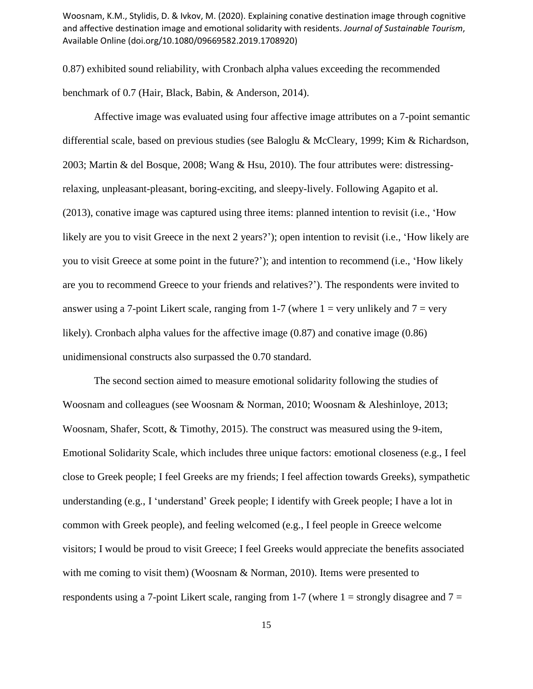0.87) exhibited sound reliability, with Cronbach alpha values exceeding the recommended benchmark of 0.7 (Hair, Black, Babin, & Anderson, 2014).

Affective image was evaluated using four affective image attributes on a 7-point semantic differential scale, based on previous studies (see Baloglu & McCleary, 1999; Kim & Richardson, 2003; Martin & del Bosque, 2008; Wang & Hsu, 2010). The four attributes were: distressingrelaxing, unpleasant-pleasant, boring-exciting, and sleepy-lively. Following Agapito et al. (2013), conative image was captured using three items: planned intention to revisit (i.e., 'How likely are you to visit Greece in the next 2 years?'); open intention to revisit (i.e., 'How likely are you to visit Greece at some point in the future?'); and intention to recommend (i.e., 'How likely are you to recommend Greece to your friends and relatives?'). The respondents were invited to answer using a 7-point Likert scale, ranging from 1-7 (where  $1 = \text{very}$  unlikely and  $7 = \text{very}$ ) likely). Cronbach alpha values for the affective image (0.87) and conative image (0.86) unidimensional constructs also surpassed the 0.70 standard.

The second section aimed to measure emotional solidarity following the studies of Woosnam and colleagues (see Woosnam & Norman, 2010; Woosnam & Aleshinloye, 2013; Woosnam, Shafer, Scott, & Timothy, 2015). The construct was measured using the 9-item, Emotional Solidarity Scale, which includes three unique factors: emotional closeness (e.g., I feel close to Greek people; I feel Greeks are my friends; I feel affection towards Greeks), sympathetic understanding (e.g., I 'understand' Greek people; I identify with Greek people; I have a lot in common with Greek people), and feeling welcomed (e.g., I feel people in Greece welcome visitors; I would be proud to visit Greece; I feel Greeks would appreciate the benefits associated with me coming to visit them) (Woosnam & Norman, 2010). Items were presented to respondents using a 7-point Likert scale, ranging from 1-7 (where  $1 =$  strongly disagree and  $7 =$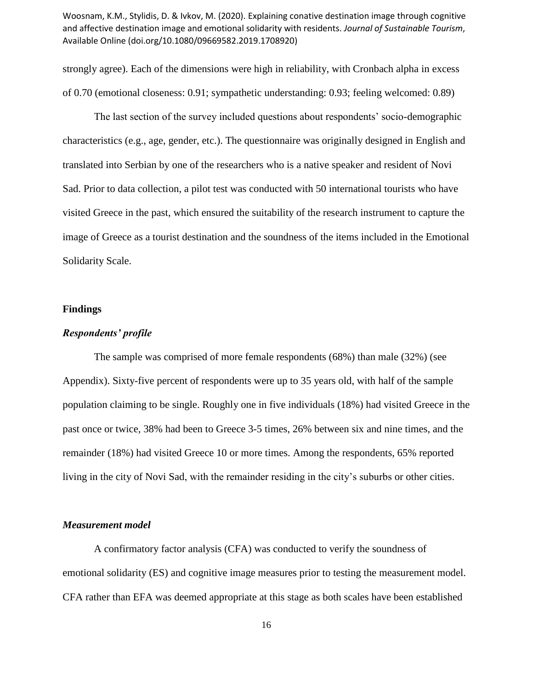strongly agree). Each of the dimensions were high in reliability, with Cronbach alpha in excess of 0.70 (emotional closeness: 0.91; sympathetic understanding: 0.93; feeling welcomed: 0.89)

The last section of the survey included questions about respondents' socio-demographic characteristics (e.g., age, gender, etc.). The questionnaire was originally designed in English and translated into Serbian by one of the researchers who is a native speaker and resident of Novi Sad. Prior to data collection, a pilot test was conducted with 50 international tourists who have visited Greece in the past, which ensured the suitability of the research instrument to capture the image of Greece as a tourist destination and the soundness of the items included in the Emotional Solidarity Scale.

#### **Findings**

# *Respondents' profile*

The sample was comprised of more female respondents (68%) than male (32%) (see Appendix). Sixty-five percent of respondents were up to 35 years old, with half of the sample population claiming to be single. Roughly one in five individuals (18%) had visited Greece in the past once or twice, 38% had been to Greece 3-5 times, 26% between six and nine times, and the remainder (18%) had visited Greece 10 or more times. Among the respondents, 65% reported living in the city of Novi Sad, with the remainder residing in the city's suburbs or other cities.

#### *Measurement model*

A confirmatory factor analysis (CFA) was conducted to verify the soundness of emotional solidarity (ES) and cognitive image measures prior to testing the measurement model. CFA rather than EFA was deemed appropriate at this stage as both scales have been established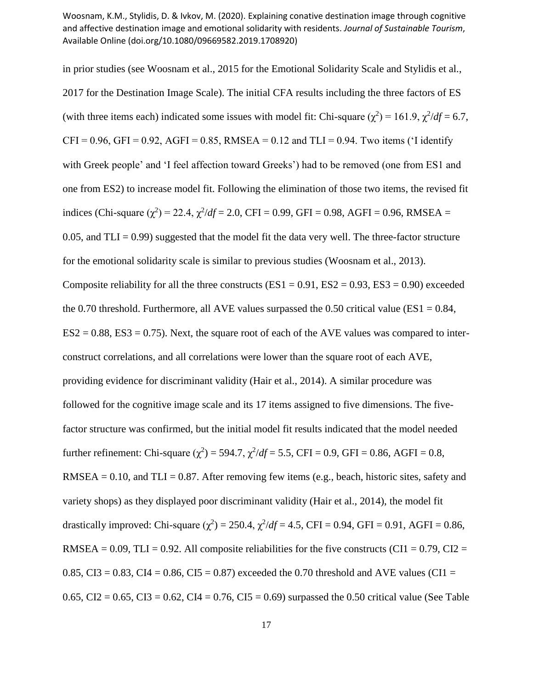in prior studies (see Woosnam et al., 2015 for the Emotional Solidarity Scale and Stylidis et al., 2017 for the Destination Image Scale). The initial CFA results including the three factors of ES (with three items each) indicated some issues with model fit: Chi-square  $(\chi^2) = 161.9$ ,  $\chi^2/df = 6.7$ ,  $CFI = 0.96$ ,  $GFI = 0.92$ ,  $AGFI = 0.85$ , RMSEA = 0.12 and TLI = 0.94. Two items ('I identify with Greek people' and 'I feel affection toward Greeks') had to be removed (one from ES1 and one from ES2) to increase model fit. Following the elimination of those two items, the revised fit indices (Chi-square ( $\chi^2$ ) = 22.4,  $\chi^2/df$  = 2.0, CFI = 0.99, GFI = 0.98, AGFI = 0.96, RMSEA = 0.05, and  $TLI = 0.99$ ) suggested that the model fit the data very well. The three-factor structure for the emotional solidarity scale is similar to previous studies (Woosnam et al., 2013). Composite reliability for all the three constructs ( $ES1 = 0.91$ ,  $ES2 = 0.93$ ,  $ES3 = 0.90$ ) exceeded the 0.70 threshold. Furthermore, all AVE values surpassed the 0.50 critical value (ES1 =  $0.84$ ,  $ES2 = 0.88$ ,  $ES3 = 0.75$ ). Next, the square root of each of the AVE values was compared to interconstruct correlations, and all correlations were lower than the square root of each AVE, providing evidence for discriminant validity (Hair et al., 2014). A similar procedure was followed for the cognitive image scale and its 17 items assigned to five dimensions. The fivefactor structure was confirmed, but the initial model fit results indicated that the model needed further refinement: Chi-square  $(\chi^2)$  = 594.7,  $\chi^2/df$  = 5.5, CFI = 0.9, GFI = 0.86, AGFI = 0.8, RMSEA =  $0.10$ , and TLI =  $0.87$ . After removing few items (e.g., beach, historic sites, safety and variety shops) as they displayed poor discriminant validity (Hair et al., 2014), the model fit drastically improved: Chi-square  $(\chi^2) = 250.4$ ,  $\chi^2/df = 4.5$ , CFI = 0.94, GFI = 0.91, AGFI = 0.86, RMSEA =  $0.09$ , TLI =  $0.92$ . All composite reliabilities for the five constructs (CI1 =  $0.79$ , CI2 = 0.85, CI3 = 0.83, CI4 = 0.86, CI5 = 0.87) exceeded the 0.70 threshold and AVE values (CI1 = 0.65, CI2 = 0.65, CI3 = 0.62, CI4 = 0.76, CI5 = 0.69) surpassed the 0.50 critical value (See Table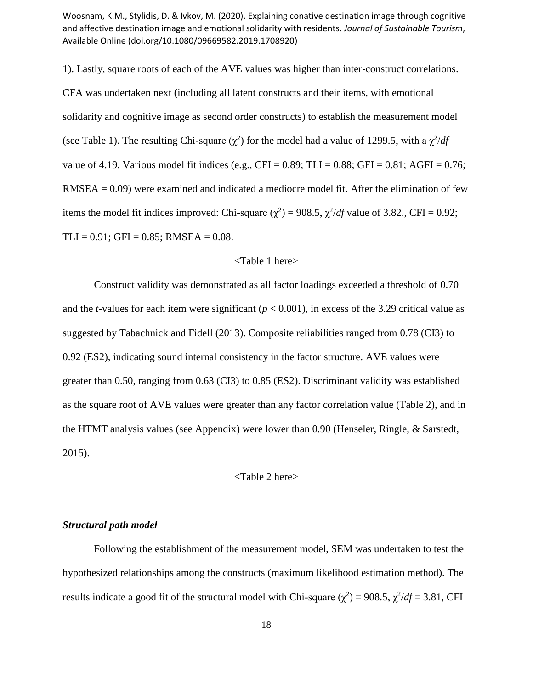1). Lastly, square roots of each of the AVE values was higher than inter-construct correlations. CFA was undertaken next (including all latent constructs and their items, with emotional solidarity and cognitive image as second order constructs) to establish the measurement model (see Table 1). The resulting Chi-square ( $\chi^2$ ) for the model had a value of 1299.5, with a  $\chi^2/df$ value of 4.19. Various model fit indices (e.g., CFI =  $0.89$ ; TLI =  $0.88$ ; GFI =  $0.81$ ; AGFI =  $0.76$ ; RMSEA = 0.09) were examined and indicated a mediocre model fit. After the elimination of few items the model fit indices improved: Chi-square  $(\chi^2) = 908.5$ ,  $\chi^2/df$  value of 3.82., CFI = 0.92;  $TLI = 0.91$ ; GFI = 0.85; RMSEA = 0.08.

#### <Table 1 here>

Construct validity was demonstrated as all factor loadings exceeded a threshold of 0.70 and the *t*-values for each item were significant ( $p < 0.001$ ), in excess of the 3.29 critical value as suggested by Tabachnick and Fidell (2013). Composite reliabilities ranged from 0.78 (CI3) to 0.92 (ES2), indicating sound internal consistency in the factor structure. AVE values were greater than 0.50, ranging from 0.63 (CI3) to 0.85 (ES2). Discriminant validity was established as the square root of AVE values were greater than any factor correlation value (Table 2), and in the HTMT analysis values (see Appendix) were lower than 0.90 (Henseler, Ringle, & Sarstedt, 2015).

<Table 2 here>

#### *Structural path model*

Following the establishment of the measurement model, SEM was undertaken to test the hypothesized relationships among the constructs (maximum likelihood estimation method). The results indicate a good fit of the structural model with Chi-square  $(\chi^2)$  = 908.5,  $\chi^2/df$  = 3.81, CFI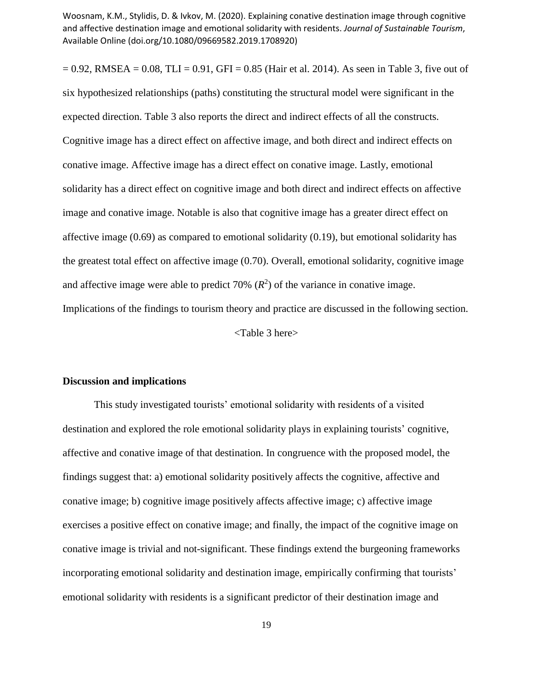$= 0.92$ , RMSEA  $= 0.08$ , TLI  $= 0.91$ , GFI  $= 0.85$  (Hair et al. 2014). As seen in Table 3, five out of six hypothesized relationships (paths) constituting the structural model were significant in the expected direction. Table 3 also reports the direct and indirect effects of all the constructs. Cognitive image has a direct effect on affective image, and both direct and indirect effects on conative image. Affective image has a direct effect on conative image. Lastly, emotional solidarity has a direct effect on cognitive image and both direct and indirect effects on affective image and conative image. Notable is also that cognitive image has a greater direct effect on affective image (0.69) as compared to emotional solidarity (0.19), but emotional solidarity has the greatest total effect on affective image (0.70). Overall, emotional solidarity, cognitive image and affective image were able to predict 70%  $(R^2)$  of the variance in conative image. Implications of the findings to tourism theory and practice are discussed in the following section. <Table 3 here>

#### **Discussion and implications**

This study investigated tourists' emotional solidarity with residents of a visited destination and explored the role emotional solidarity plays in explaining tourists' cognitive, affective and conative image of that destination. In congruence with the proposed model, the findings suggest that: a) emotional solidarity positively affects the cognitive, affective and conative image; b) cognitive image positively affects affective image; c) affective image exercises a positive effect on conative image; and finally, the impact of the cognitive image on conative image is trivial and not-significant. These findings extend the burgeoning frameworks incorporating emotional solidarity and destination image, empirically confirming that tourists' emotional solidarity with residents is a significant predictor of their destination image and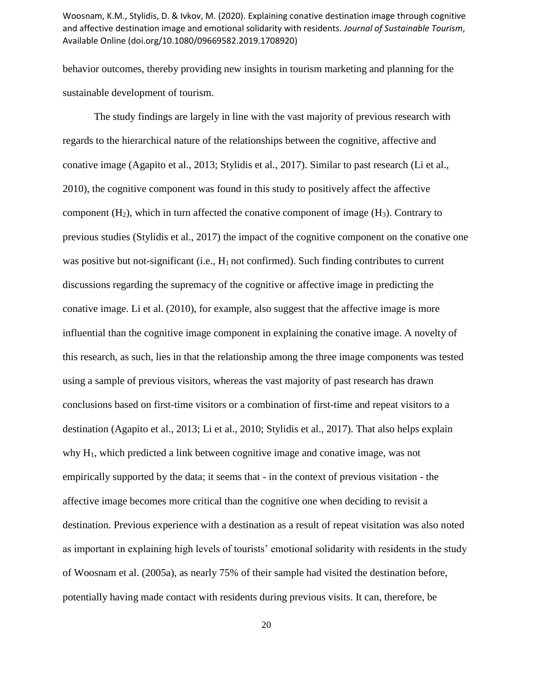behavior outcomes, thereby providing new insights in tourism marketing and planning for the sustainable development of tourism.

The study findings are largely in line with the vast majority of previous research with regards to the hierarchical nature of the relationships between the cognitive, affective and conative image (Agapito et al., 2013; Stylidis et al., 2017). Similar to past research (Li et al., 2010), the cognitive component was found in this study to positively affect the affective component  $(H_2)$ , which in turn affected the conative component of image  $(H_3)$ . Contrary to previous studies (Stylidis et al., 2017) the impact of the cognitive component on the conative one was positive but not-significant (i.e.,  $H_1$  not confirmed). Such finding contributes to current discussions regarding the supremacy of the cognitive or affective image in predicting the conative image. Li et al. (2010), for example, also suggest that the affective image is more influential than the cognitive image component in explaining the conative image. A novelty of this research, as such, lies in that the relationship among the three image components was tested using a sample of previous visitors, whereas the vast majority of past research has drawn conclusions based on first-time visitors or a combination of first-time and repeat visitors to a destination (Agapito et al., 2013; Li et al., 2010; Stylidis et al., 2017). That also helps explain why H1, which predicted a link between cognitive image and conative image, was not empirically supported by the data; it seems that - in the context of previous visitation - the affective image becomes more critical than the cognitive one when deciding to revisit a destination. Previous experience with a destination as a result of repeat visitation was also noted as important in explaining high levels of tourists' emotional solidarity with residents in the study of Woosnam et al. (2005a), as nearly 75% of their sample had visited the destination before, potentially having made contact with residents during previous visits. It can, therefore, be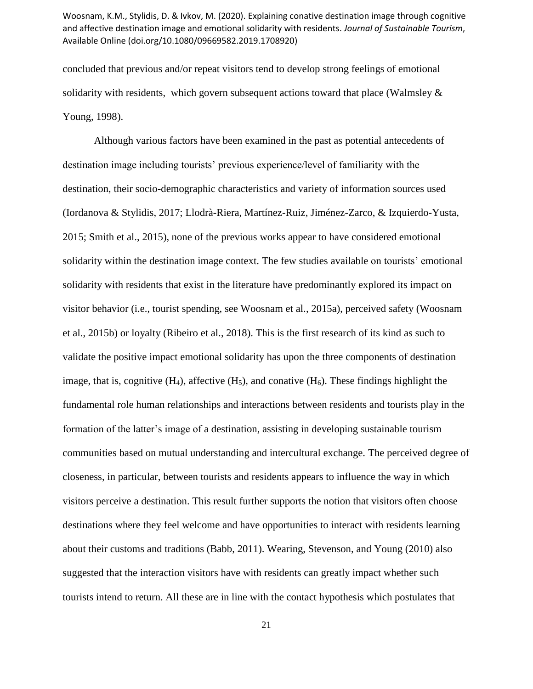concluded that previous and/or repeat visitors tend to develop strong feelings of emotional solidarity with residents, which govern subsequent actions toward that place (Walmsley  $\&$ Young, 1998).

Although various factors have been examined in the past as potential antecedents of destination image including tourists' previous experience/level of familiarity with the destination, their socio-demographic characteristics and variety of information sources used (Iordanova & Stylidis, 2017; Llodrà-Riera, Martínez-Ruiz, Jiménez-Zarco, & Izquierdo-Yusta, 2015; Smith et al., 2015), none of the previous works appear to have considered emotional solidarity within the destination image context. The few studies available on tourists' emotional solidarity with residents that exist in the literature have predominantly explored its impact on visitor behavior (i.e., tourist spending, see Woosnam et al., 2015a), perceived safety (Woosnam et al., 2015b) or loyalty (Ribeiro et al., 2018). This is the first research of its kind as such to validate the positive impact emotional solidarity has upon the three components of destination image, that is, cognitive  $(H_4)$ , affective  $(H_5)$ , and conative  $(H_6)$ . These findings highlight the fundamental role human relationships and interactions between residents and tourists play in the formation of the latter's image of a destination, assisting in developing sustainable tourism communities based on mutual understanding and intercultural exchange. The perceived degree of closeness, in particular, between tourists and residents appears to influence the way in which visitors perceive a destination. This result further supports the notion that visitors often choose destinations where they feel welcome and have opportunities to interact with residents learning about their customs and traditions (Babb, 2011). Wearing, Stevenson, and Young (2010) also suggested that the interaction visitors have with residents can greatly impact whether such tourists intend to return. All these are in line with the contact hypothesis which postulates that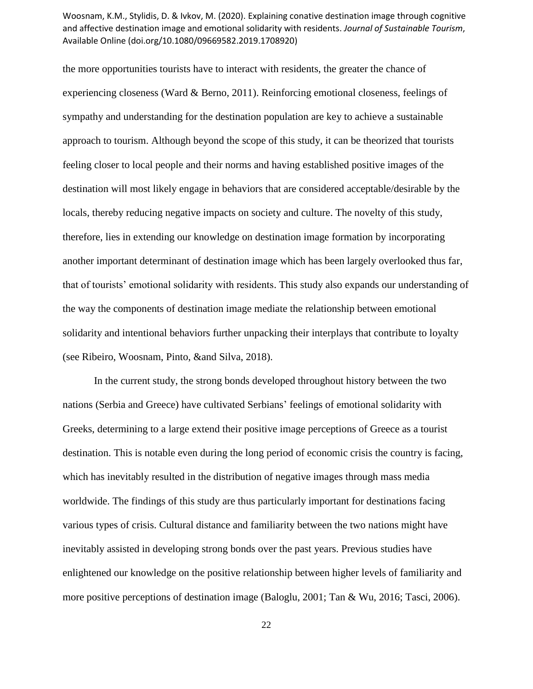the more opportunities tourists have to interact with residents, the greater the chance of experiencing closeness (Ward  $&$  Berno, 2011). Reinforcing emotional closeness, feelings of sympathy and understanding for the destination population are key to achieve a sustainable approach to tourism. Although beyond the scope of this study, it can be theorized that tourists feeling closer to local people and their norms and having established positive images of the destination will most likely engage in behaviors that are considered acceptable/desirable by the locals, thereby reducing negative impacts on society and culture. The novelty of this study, therefore, lies in extending our knowledge on destination image formation by incorporating another important determinant of destination image which has been largely overlooked thus far, that of tourists' emotional solidarity with residents. This study also expands our understanding of the way the components of destination image mediate the relationship between emotional solidarity and intentional behaviors further unpacking their interplays that contribute to loyalty (see Ribeiro, Woosnam, Pinto, &and Silva, 2018).

In the current study, the strong bonds developed throughout history between the two nations (Serbia and Greece) have cultivated Serbians' feelings of emotional solidarity with Greeks, determining to a large extend their positive image perceptions of Greece as a tourist destination. This is notable even during the long period of economic crisis the country is facing, which has inevitably resulted in the distribution of negative images through mass media worldwide. The findings of this study are thus particularly important for destinations facing various types of crisis. Cultural distance and familiarity between the two nations might have inevitably assisted in developing strong bonds over the past years. Previous studies have enlightened our knowledge on the positive relationship between higher levels of familiarity and more positive perceptions of destination image (Baloglu, 2001; Tan & Wu, 2016; Tasci, 2006).

22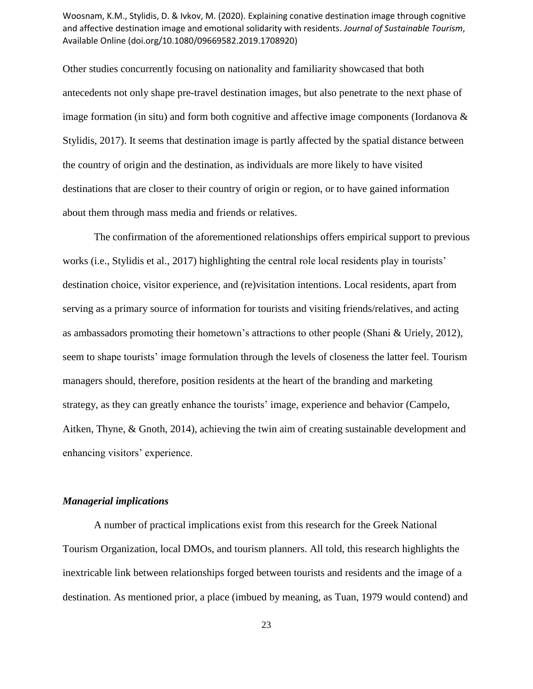Other studies concurrently focusing on nationality and familiarity showcased that both antecedents not only shape pre-travel destination images, but also penetrate to the next phase of image formation (in situ) and form both cognitive and affective image components (Iordanova  $\&$ Stylidis, 2017). It seems that destination image is partly affected by the spatial distance between the country of origin and the destination, as individuals are more likely to have visited destinations that are closer to their country of origin or region, or to have gained information about them through mass media and friends or relatives.

The confirmation of the aforementioned relationships offers empirical support to previous works (i.e., Stylidis et al., 2017) highlighting the central role local residents play in tourists' destination choice, visitor experience, and (re)visitation intentions. Local residents, apart from serving as a primary source of information for tourists and visiting friends/relatives, and acting as ambassadors promoting their hometown's attractions to other people (Shani & Uriely, 2012), seem to shape tourists' image formulation through the levels of closeness the latter feel. Tourism managers should, therefore, position residents at the heart of the branding and marketing strategy, as they can greatly enhance the tourists' image, experience and behavior (Campelo, Aitken, Thyne, & Gnoth, 2014), achieving the twin aim of creating sustainable development and enhancing visitors' experience.

# *Managerial implications*

A number of practical implications exist from this research for the Greek National Tourism Organization, local DMOs, and tourism planners. All told, this research highlights the inextricable link between relationships forged between tourists and residents and the image of a destination. As mentioned prior, a place (imbued by meaning, as Tuan, 1979 would contend) and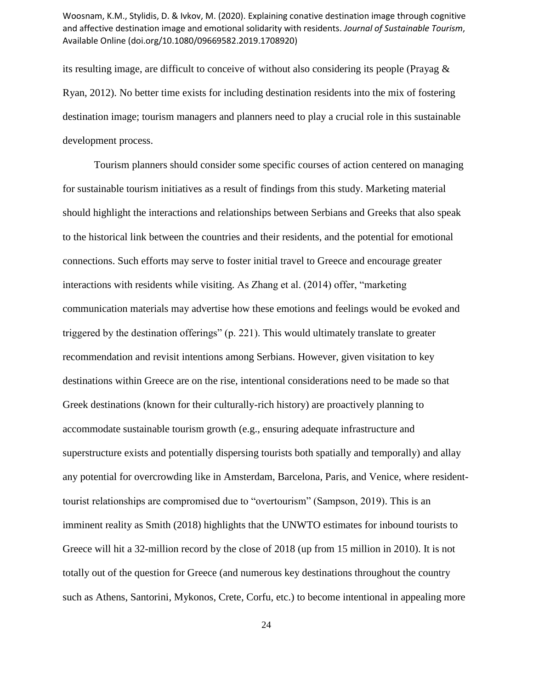its resulting image, are difficult to conceive of without also considering its people (Prayag & Ryan, 2012). No better time exists for including destination residents into the mix of fostering destination image; tourism managers and planners need to play a crucial role in this sustainable development process.

Tourism planners should consider some specific courses of action centered on managing for sustainable tourism initiatives as a result of findings from this study. Marketing material should highlight the interactions and relationships between Serbians and Greeks that also speak to the historical link between the countries and their residents, and the potential for emotional connections. Such efforts may serve to foster initial travel to Greece and encourage greater interactions with residents while visiting. As Zhang et al. (2014) offer, "marketing communication materials may advertise how these emotions and feelings would be evoked and triggered by the destination offerings" (p. 221). This would ultimately translate to greater recommendation and revisit intentions among Serbians. However, given visitation to key destinations within Greece are on the rise, intentional considerations need to be made so that Greek destinations (known for their culturally-rich history) are proactively planning to accommodate sustainable tourism growth (e.g., ensuring adequate infrastructure and superstructure exists and potentially dispersing tourists both spatially and temporally) and allay any potential for overcrowding like in Amsterdam, Barcelona, Paris, and Venice, where residenttourist relationships are compromised due to "overtourism" (Sampson, 2019). This is an imminent reality as Smith (2018) highlights that the UNWTO estimates for inbound tourists to Greece will hit a 32-million record by the close of 2018 (up from 15 million in 2010). It is not totally out of the question for Greece (and numerous key destinations throughout the country such as Athens, Santorini, Mykonos, Crete, Corfu, etc.) to become intentional in appealing more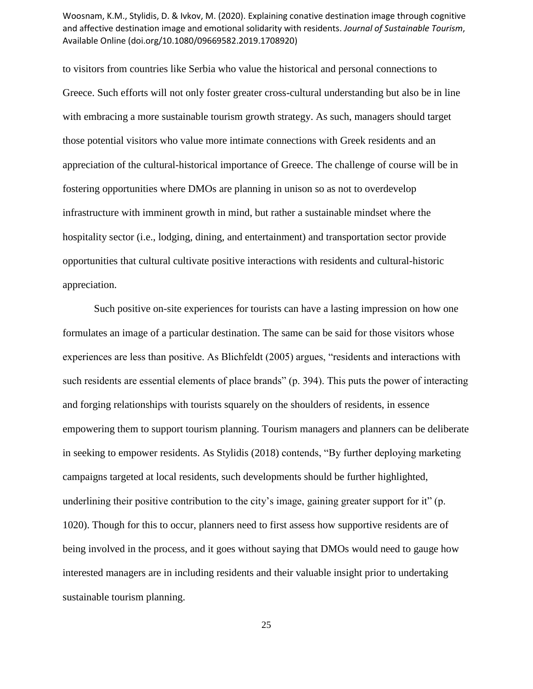to visitors from countries like Serbia who value the historical and personal connections to Greece. Such efforts will not only foster greater cross-cultural understanding but also be in line with embracing a more sustainable tourism growth strategy. As such, managers should target those potential visitors who value more intimate connections with Greek residents and an appreciation of the cultural-historical importance of Greece. The challenge of course will be in fostering opportunities where DMOs are planning in unison so as not to overdevelop infrastructure with imminent growth in mind, but rather a sustainable mindset where the hospitality sector (i.e., lodging, dining, and entertainment) and transportation sector provide opportunities that cultural cultivate positive interactions with residents and cultural-historic appreciation.

Such positive on-site experiences for tourists can have a lasting impression on how one formulates an image of a particular destination. The same can be said for those visitors whose experiences are less than positive. As Blichfeldt (2005) argues, "residents and interactions with such residents are essential elements of place brands" (p. 394). This puts the power of interacting and forging relationships with tourists squarely on the shoulders of residents, in essence empowering them to support tourism planning. Tourism managers and planners can be deliberate in seeking to empower residents. As Stylidis (2018) contends, "By further deploying marketing campaigns targeted at local residents, such developments should be further highlighted, underlining their positive contribution to the city's image, gaining greater support for it" (p. 1020). Though for this to occur, planners need to first assess how supportive residents are of being involved in the process, and it goes without saying that DMOs would need to gauge how interested managers are in including residents and their valuable insight prior to undertaking sustainable tourism planning.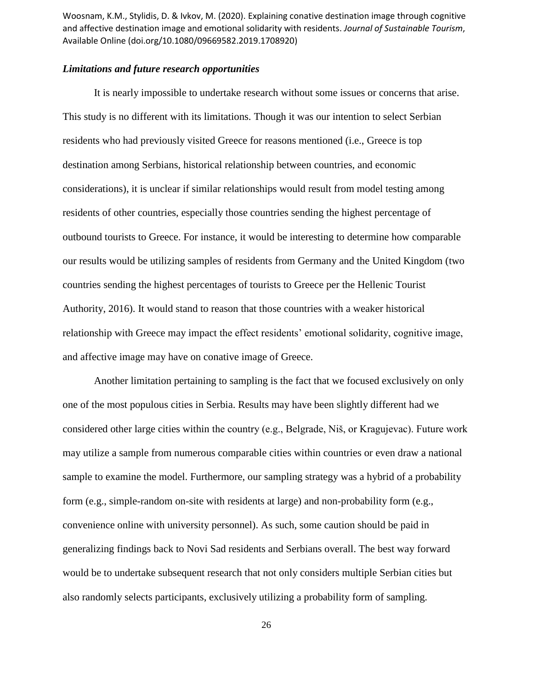# *Limitations and future research opportunities*

It is nearly impossible to undertake research without some issues or concerns that arise. This study is no different with its limitations. Though it was our intention to select Serbian residents who had previously visited Greece for reasons mentioned (i.e., Greece is top destination among Serbians, historical relationship between countries, and economic considerations), it is unclear if similar relationships would result from model testing among residents of other countries, especially those countries sending the highest percentage of outbound tourists to Greece. For instance, it would be interesting to determine how comparable our results would be utilizing samples of residents from Germany and the United Kingdom (two countries sending the highest percentages of tourists to Greece per the Hellenic Tourist Authority, 2016). It would stand to reason that those countries with a weaker historical relationship with Greece may impact the effect residents' emotional solidarity, cognitive image, and affective image may have on conative image of Greece.

Another limitation pertaining to sampling is the fact that we focused exclusively on only one of the most populous cities in Serbia. Results may have been slightly different had we considered other large cities within the country (e.g., Belgrade, Niš, or Kragujevac). Future work may utilize a sample from numerous comparable cities within countries or even draw a national sample to examine the model. Furthermore, our sampling strategy was a hybrid of a probability form (e.g., simple-random on-site with residents at large) and non-probability form (e.g., convenience online with university personnel). As such, some caution should be paid in generalizing findings back to Novi Sad residents and Serbians overall. The best way forward would be to undertake subsequent research that not only considers multiple Serbian cities but also randomly selects participants, exclusively utilizing a probability form of sampling.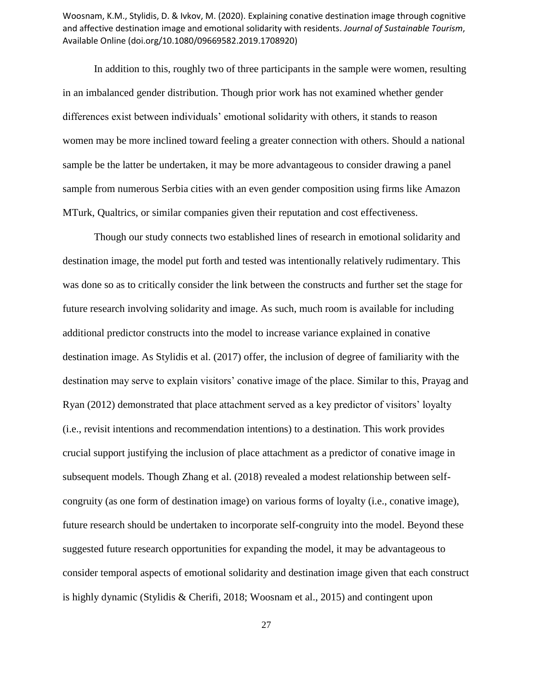In addition to this, roughly two of three participants in the sample were women, resulting in an imbalanced gender distribution. Though prior work has not examined whether gender differences exist between individuals' emotional solidarity with others, it stands to reason women may be more inclined toward feeling a greater connection with others. Should a national sample be the latter be undertaken, it may be more advantageous to consider drawing a panel sample from numerous Serbia cities with an even gender composition using firms like Amazon MTurk, Qualtrics, or similar companies given their reputation and cost effectiveness.

Though our study connects two established lines of research in emotional solidarity and destination image, the model put forth and tested was intentionally relatively rudimentary. This was done so as to critically consider the link between the constructs and further set the stage for future research involving solidarity and image. As such, much room is available for including additional predictor constructs into the model to increase variance explained in conative destination image. As Stylidis et al. (2017) offer, the inclusion of degree of familiarity with the destination may serve to explain visitors' conative image of the place. Similar to this, Prayag and Ryan (2012) demonstrated that place attachment served as a key predictor of visitors' loyalty (i.e., revisit intentions and recommendation intentions) to a destination. This work provides crucial support justifying the inclusion of place attachment as a predictor of conative image in subsequent models. Though Zhang et al. (2018) revealed a modest relationship between selfcongruity (as one form of destination image) on various forms of loyalty (i.e., conative image), future research should be undertaken to incorporate self-congruity into the model. Beyond these suggested future research opportunities for expanding the model, it may be advantageous to consider temporal aspects of emotional solidarity and destination image given that each construct is highly dynamic (Stylidis & Cherifi, 2018; Woosnam et al., 2015) and contingent upon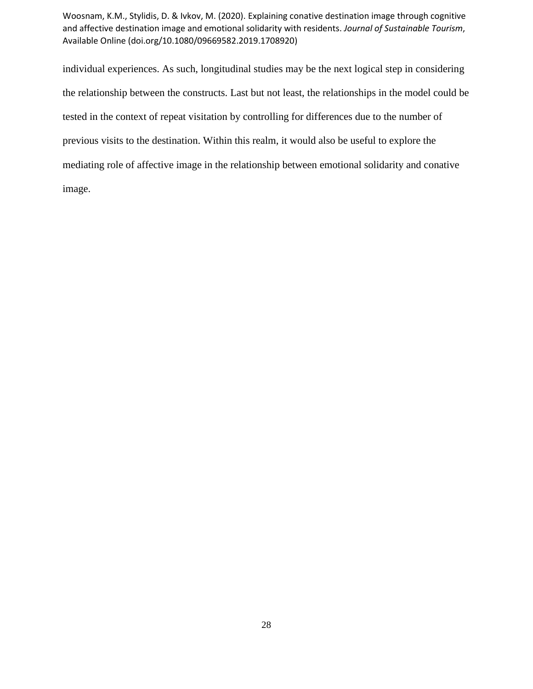individual experiences. As such, longitudinal studies may be the next logical step in considering the relationship between the constructs. Last but not least, the relationships in the model could be tested in the context of repeat visitation by controlling for differences due to the number of previous visits to the destination. Within this realm, it would also be useful to explore the mediating role of affective image in the relationship between emotional solidarity and conative image.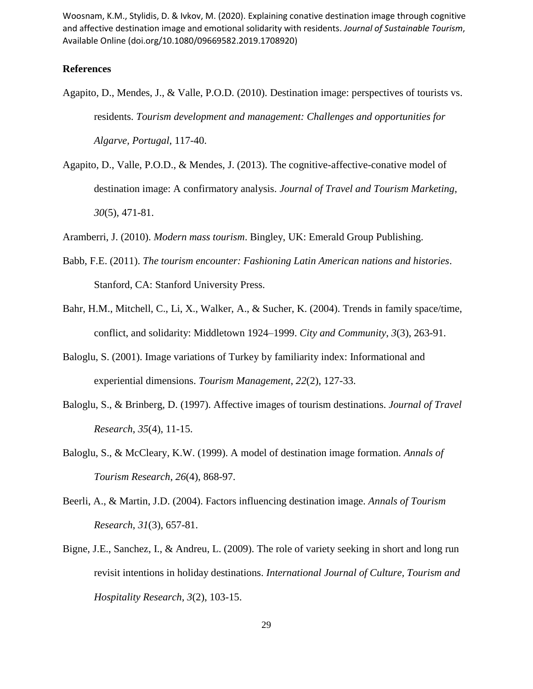# **References**

- Agapito, D., Mendes, J., & Valle, P.O.D. (2010). Destination image: perspectives of tourists vs. residents. *Tourism development and management: Challenges and opportunities for Algarve, Portugal*, 117-40.
- Agapito, D., Valle, P.O.D., & Mendes, J. (2013). The cognitive-affective-conative model of destination image: A confirmatory analysis. *Journal of Travel and Tourism Marketing*, *30*(5), 471-81.
- Aramberri, J. (2010). *Modern mass tourism*. Bingley, UK: Emerald Group Publishing.
- Babb, F.E. (2011). *The tourism encounter: Fashioning Latin American nations and histories*. Stanford, CA: Stanford University Press.
- Bahr, H.M., Mitchell, C., Li, X., Walker, A., & Sucher, K. (2004). Trends in family space/time, conflict, and solidarity: Middletown 1924–1999. *City and Community*, *3*(3), 263-91.
- Baloglu, S. (2001). Image variations of Turkey by familiarity index: Informational and experiential dimensions. *Tourism Management*, *22*(2), 127-33.
- Baloglu, S., & Brinberg, D. (1997). Affective images of tourism destinations. *Journal of Travel Research*, *35*(4), 11-15.
- Baloglu, S., & McCleary, K.W. (1999). A model of destination image formation. *Annals of Tourism Research*, *26*(4), 868-97.
- Beerli, A., & Martin, J.D. (2004). Factors influencing destination image. *Annals of Tourism Research*, *31*(3), 657-81.
- Bigne, J.E., Sanchez, I., & Andreu, L. (2009). The role of variety seeking in short and long run revisit intentions in holiday destinations. *International Journal of Culture, Tourism and Hospitality Research*, *3*(2), 103-15.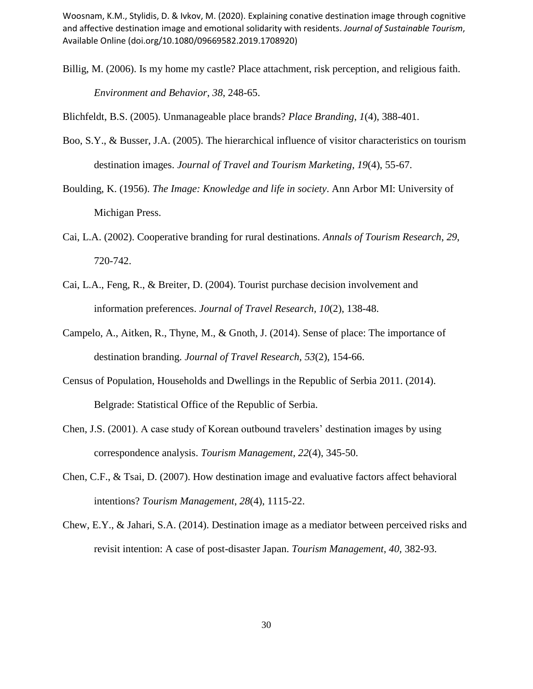Billig, M. (2006). Is my home my castle? Place attachment, risk perception, and religious faith. *Environment and Behavior*, *38*, 248-65.

Blichfeldt, B.S. (2005). Unmanageable place brands? *Place Branding*, *1*(4), 388-401.

- Boo, S.Y., & Busser, J.A. (2005). The hierarchical influence of visitor characteristics on tourism destination images. *Journal of Travel and Tourism Marketing*, *19*(4), 55-67.
- Boulding, K. (1956). *The Image: Knowledge and life in society*. Ann Arbor MI: University of Michigan Press.
- Cai, L.A. (2002). Cooperative branding for rural destinations. *Annals of Tourism Research*, *29*, 720-742.
- Cai, L.A., Feng, R., & Breiter, D. (2004). Tourist purchase decision involvement and information preferences. *Journal of Travel Research, 10*(2), 138-48.
- Campelo, A., Aitken, R., Thyne, M., & Gnoth, J. (2014). Sense of place: The importance of destination branding. *Journal of Travel Research, 53*(2), 154-66.
- Census of Population, Households and Dwellings in the Republic of Serbia 2011. (2014). Belgrade: Statistical Office of the Republic of Serbia.
- Chen, J.S. (2001). A case study of Korean outbound travelers' destination images by using correspondence analysis. *Tourism Management, 22*(4), 345-50.
- Chen, C.F., & Tsai, D. (2007). How destination image and evaluative factors affect behavioral intentions? *Tourism Management*, *28*(4), 1115-22.
- Chew, E.Y., & Jahari, S.A. (2014). Destination image as a mediator between perceived risks and revisit intention: A case of post-disaster Japan. *Tourism Management*, *40,* 382-93.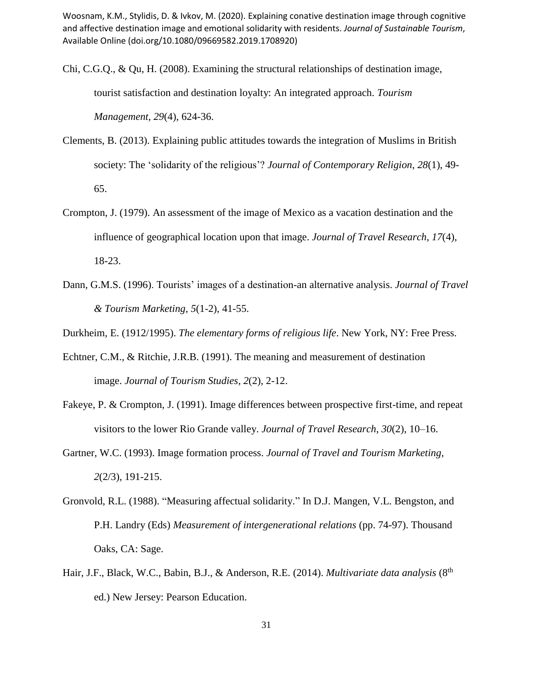Chi, C.G.Q., & Qu, H. (2008). Examining the structural relationships of destination image, tourist satisfaction and destination loyalty: An integrated approach. *Tourism Management, 29*(4), 624-36.

- Clements, B. (2013). Explaining public attitudes towards the integration of Muslims in British society: The 'solidarity of the religious'? *Journal of Contemporary Religion*, *28*(1), 49- 65.
- Crompton, J. (1979). An assessment of the image of Mexico as a vacation destination and the influence of geographical location upon that image. *Journal of Travel Research*, *17*(4), 18-23.
- Dann, G.M.S. (1996). Tourists' images of a destination-an alternative analysis. *Journal of Travel & Tourism Marketing*, *5*(1-2), 41-55.

Durkheim, E. (1912/1995). *The elementary forms of religious life*. New York, NY: Free Press.

- Echtner, C.M., & Ritchie, J.R.B. (1991). The meaning and measurement of destination image. *Journal of Tourism Studies*, *2*(2), 2-12.
- Fakeye, P. & Crompton, J. (1991). Image differences between prospective first-time, and repeat visitors to the lower Rio Grande valley. *Journal of Travel Research*, *30*(2), 10–16.
- Gartner, W.C. (1993). Image formation process. *Journal of Travel and Tourism Marketing*, *2*(2/3), 191-215.
- Gronvold, R.L. (1988). "Measuring affectual solidarity." In D.J. Mangen, V.L. Bengston, and P.H. Landry (Eds) *Measurement of intergenerational relations* (pp. 74-97). Thousand Oaks, CA: Sage.
- Hair, J.F., Black, W.C., Babin, B.J., & Anderson, R.E. (2014). *Multivariate data analysis* (8<sup>th</sup> ed.) New Jersey: Pearson Education.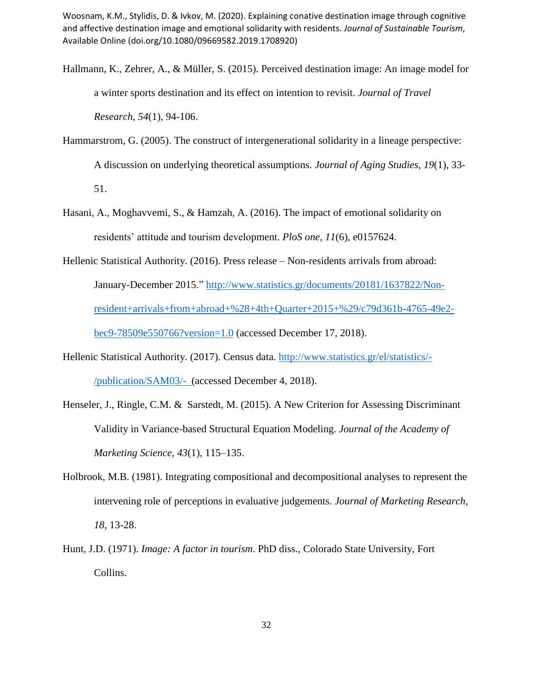- Hallmann, K., Zehrer, A., & Müller, S. (2015). Perceived destination image: An image model for a winter sports destination and its effect on intention to revisit. *Journal of Travel Research*, *54*(1), 94-106.
- Hammarstrom, G. (2005). The construct of intergenerational solidarity in a lineage perspective: A discussion on underlying theoretical assumptions. *Journal of Aging Studies*, *19*(1), 33- 51.
- Hasani, A., Moghavvemi, S., & Hamzah, A. (2016). The impact of emotional solidarity on residents' attitude and tourism development. *PloS one*, *11*(6), e0157624.
- Hellenic Statistical Authority. (2016). Press release Non-residents arrivals from abroad: January-December 2015." [http://www.statistics.gr/documents/20181/1637822/Non](http://www.statistics.gr/documents/20181/1637822/Non-resident+arrivals+from+abroad+%28+4th+Quarter+2015+%29/c79d361b-4765-49e2-bec9-78509e550766?version=1.0)[resident+arrivals+from+abroad+%28+4th+Quarter+2015+%29/c79d361b-4765-49e2](http://www.statistics.gr/documents/20181/1637822/Non-resident+arrivals+from+abroad+%28+4th+Quarter+2015+%29/c79d361b-4765-49e2-bec9-78509e550766?version=1.0) [bec9-78509e550766?version=1.0](http://www.statistics.gr/documents/20181/1637822/Non-resident+arrivals+from+abroad+%28+4th+Quarter+2015+%29/c79d361b-4765-49e2-bec9-78509e550766?version=1.0) (accessed December 17, 2018).
- Hellenic Statistical Authority. (2017). Census data. [http://www.statistics.gr/el/statistics/-](http://www.statistics.gr/el/statistics/-/publication/SAM03/-) [/publication/SAM03/-](http://www.statistics.gr/el/statistics/-/publication/SAM03/-) (accessed December 4, 2018).
- Henseler, J., Ringle, C.M. & Sarstedt, M. (2015). A New Criterion for Assessing Discriminant Validity in Variance-based Structural Equation Modeling. *Journal of the Academy of Marketing Science*, *43*(1), 115–135.
- Holbrook, M.B. (1981). Integrating compositional and decompositional analyses to represent the intervening role of perceptions in evaluative judgements. *Journal of Marketing Research*, *18*, 13-28.
- Hunt, J.D. (1971). *Image: A factor in tourism*. PhD diss., Colorado State University, Fort Collins.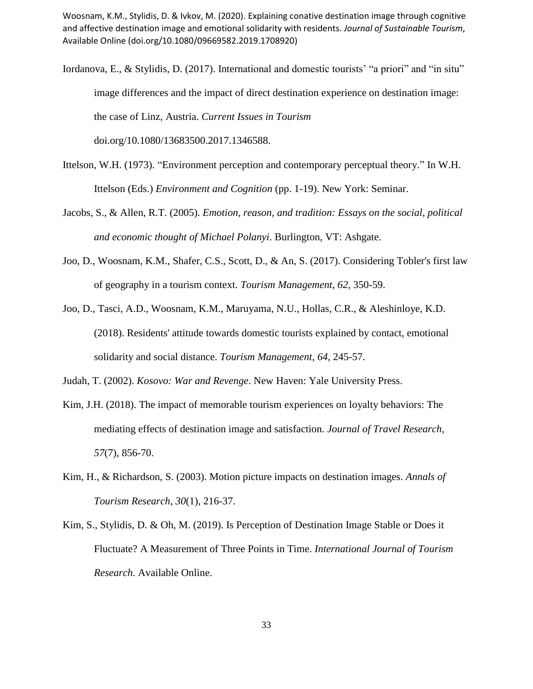- Iordanova, E., & Stylidis, D. (2017). International and domestic tourists' "a priori" and "in situ" image differences and the impact of direct destination experience on destination image: the case of Linz, Austria. *Current Issues in Tourism* doi.org/10.1080/13683500.2017.1346588.
- Ittelson, W.H. (1973). "Environment perception and contemporary perceptual theory." In W.H. Ittelson (Eds.) *Environment and Cognition* (pp. 1-19). New York: Seminar.
- Jacobs, S., & Allen, R.T. (2005). *Emotion, reason, and tradition: Essays on the social, political and economic thought of Michael Polanyi*. Burlington, VT: Ashgate.
- Joo, D., Woosnam, K.M., Shafer, C.S., Scott, D., & An, S. (2017). Considering Tobler's first law of geography in a tourism context. *Tourism Management*, *62*, 350-59.
- Joo, D., Tasci, A.D., Woosnam, K.M., Maruyama, N.U., Hollas, C.R., & Aleshinloye, K.D. (2018). Residents' attitude towards domestic tourists explained by contact, emotional solidarity and social distance. *Tourism Management*, *64*, 245-57.

Judah, T. (2002). *Kosovo: War and Revenge*. New Haven: Yale University Press.

- Kim, J.H. (2018). The impact of memorable tourism experiences on loyalty behaviors: The mediating effects of destination image and satisfaction. *Journal of Travel Research*, *57*(7), 856-70.
- Kim, H., & Richardson, S. (2003). Motion picture impacts on destination images. *Annals of Tourism Research*, *30*(1), 216-37.
- Kim, S., Stylidis, D. & Oh, M. (2019). Is Perception of Destination Image Stable or Does it Fluctuate? A Measurement of Three Points in Time. *International Journal of Tourism Research*. Available Online.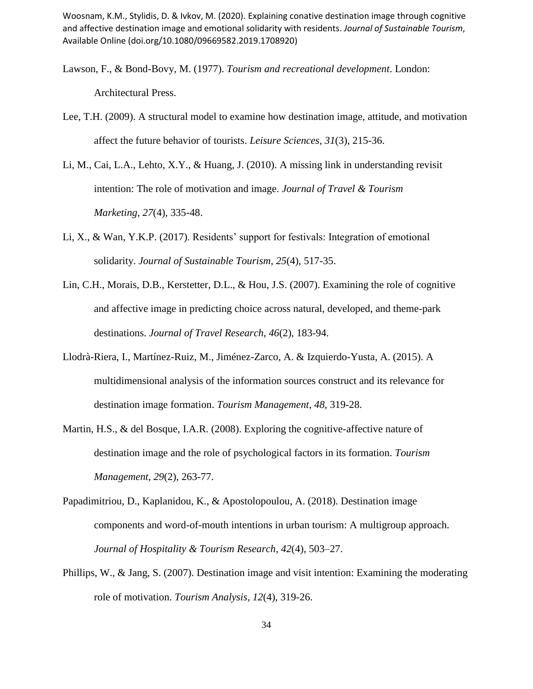- Lawson, F., & Bond-Bovy, M. (1977). *Tourism and recreational development*. London: Architectural Press.
- Lee, T.H. (2009). A structural model to examine how destination image, attitude, and motivation affect the future behavior of tourists. *Leisure Sciences*, *31*(3), 215-36.
- Li, M., Cai, L.A., Lehto, X.Y., & Huang, J. (2010). A missing link in understanding revisit intention: The role of motivation and image. *Journal of Travel & Tourism Marketing*, *27*(4), 335-48.
- Li, X., & Wan, Y.K.P. (2017). Residents' support for festivals: Integration of emotional solidarity. *Journal of Sustainable Tourism*, *25*(4), 517-35.
- Lin, C.H., Morais, D.B., Kerstetter, D.L., & Hou, J.S. (2007). Examining the role of cognitive and affective image in predicting choice across natural, developed, and theme-park destinations. *Journal of Travel Research*, *46*(2), 183-94.
- Llodrà-Riera, I., Martínez-Ruiz, M., Jiménez-Zarco, A. & Izquierdo-Yusta, A. (2015). A multidimensional analysis of the information sources construct and its relevance for destination image formation. *Tourism Management*, *48*, 319-28.
- Martin, H.S., & del Bosque, I.A.R. (2008). Exploring the cognitive-affective nature of destination image and the role of psychological factors in its formation. *Tourism Management*, *29*(2), 263-77.
- Papadimitriou, D., Kaplanidou, K., & Apostolopoulou, A. (2018). Destination image components and word-of-mouth intentions in urban tourism: A multigroup approach. *Journal of Hospitality & Tourism Research*, *42*(4), 503–27.
- Phillips, W., & Jang, S. (2007). Destination image and visit intention: Examining the moderating role of motivation. *Tourism Analysis, 12*(4), 319-26.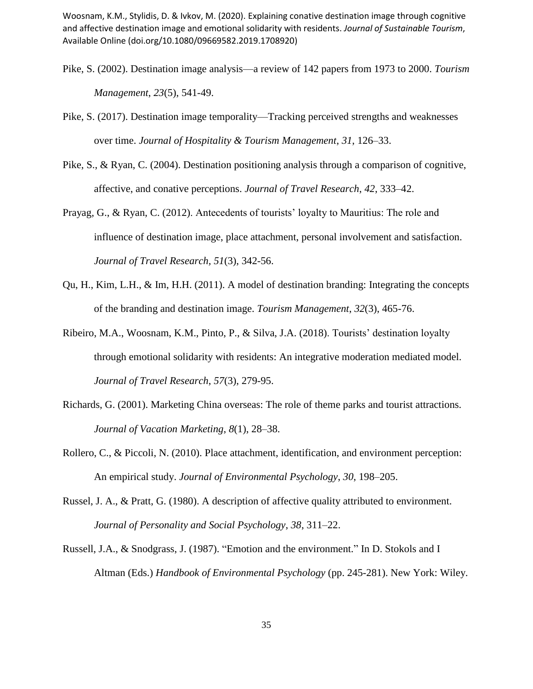- Pike, S. (2002). Destination image analysis—a review of 142 papers from 1973 to 2000. *Tourism Management*, *23*(5), 541-49.
- Pike, S. (2017). Destination image temporality—Tracking perceived strengths and weaknesses over time. *Journal of Hospitality & Tourism Management*, *31*, 126–33.
- Pike, S., & Ryan, C. (2004). Destination positioning analysis through a comparison of cognitive, affective, and conative perceptions. *Journal of Travel Research*, *42*, 333–42.
- Prayag, G., & Ryan, C. (2012). Antecedents of tourists' loyalty to Mauritius: The role and influence of destination image, place attachment, personal involvement and satisfaction. *Journal of Travel Research, 51*(3), 342-56.
- Qu, H., Kim, L.H., & Im, H.H. (2011). A model of destination branding: Integrating the concepts of the branding and destination image. *Tourism Management*, *32*(3), 465-76.
- Ribeiro, M.A., Woosnam, K.M., Pinto, P., & Silva, J.A. (2018). Tourists' destination loyalty through emotional solidarity with residents: An integrative moderation mediated model. *Journal of Travel Research*, *57*(3), 279-95.
- Richards, G. (2001). Marketing China overseas: The role of theme parks and tourist attractions. *Journal of Vacation Marketing*, *8*(1), 28–38.
- Rollero, C., & Piccoli, N. (2010). Place attachment, identification, and environment perception: An empirical study. *Journal of Environmental Psychology*, *30*, 198–205.
- Russel, J. A., & Pratt, G. (1980). A description of affective quality attributed to environment. *Journal of Personality and Social Psychology*, *38*, 311–22.
- Russell, J.A., & Snodgrass, J. (1987). "Emotion and the environment." In D. Stokols and I Altman (Eds.) *Handbook of Environmental Psychology* (pp. 245-281). New York: Wiley.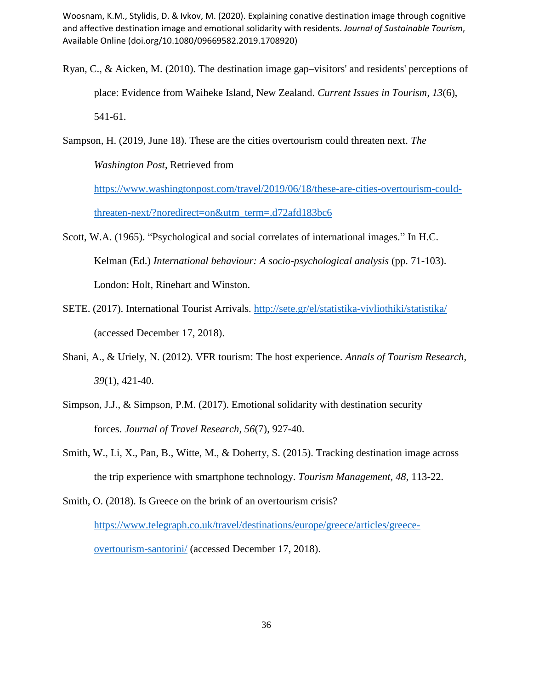Ryan, C., & Aicken, M. (2010). The destination image gap–visitors' and residents' perceptions of place: Evidence from Waiheke Island, New Zealand. *Current Issues in Tourism*, *13*(6), 541-61.

Sampson, H. (2019, June 18). These are the cities overtourism could threaten next. *The Washington Post*, Retrieved from

[https://www.washingtonpost.com/travel/2019/06/18/these-are-cities-overtourism-could](https://www.washingtonpost.com/travel/2019/06/18/these-are-cities-overtourism-could-threaten-next/?noredirect=on&utm_term=.d72afd183bc6)[threaten-next/?noredirect=on&utm\\_term=.d72afd183bc6](https://www.washingtonpost.com/travel/2019/06/18/these-are-cities-overtourism-could-threaten-next/?noredirect=on&utm_term=.d72afd183bc6)

- Scott, W.A. (1965). "Psychological and social correlates of international images." In H.C. Kelman (Ed.) *International behaviour: A socio-psychological analysis* (pp. 71-103). London: Holt, Rinehart and Winston.
- SETE. (2017). International Tourist Arrivals.<http://sete.gr/el/statistika-vivliothiki/statistika/> (accessed December 17, 2018).
- Shani, A., & Uriely, N. (2012). VFR tourism: The host experience. *Annals of Tourism Research, 39*(1), 421-40.
- Simpson, J.J., & Simpson, P.M. (2017). Emotional solidarity with destination security forces. *Journal of Travel Research*, *56*(7), 927-40.
- Smith, W., Li, X., Pan, B., Witte, M., & Doherty, S. (2015). Tracking destination image across the trip experience with smartphone technology. *Tourism Management*, *48*, 113-22.

Smith, O. (2018). Is Greece on the brink of an overtourism crisis? [https://www.telegraph.co.uk/travel/destinations/europe/greece/articles/greece](https://www.telegraph.co.uk/travel/destinations/europe/greece/articles/greece-overtourism-santorini/)[overtourism-santorini/](https://www.telegraph.co.uk/travel/destinations/europe/greece/articles/greece-overtourism-santorini/) (accessed December 17, 2018).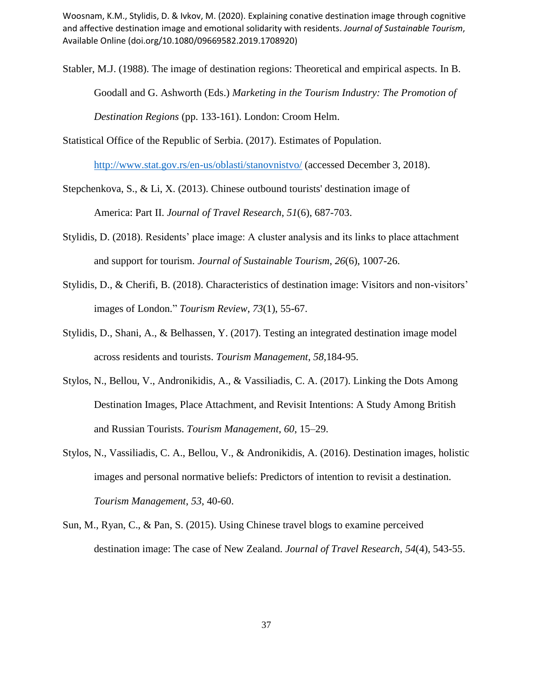- Stabler, M.J. (1988). The image of destination regions: Theoretical and empirical aspects. In B. Goodall and G. Ashworth (Eds.) *Marketing in the Tourism Industry: The Promotion of Destination Regions* (pp. 133-161). London: Croom Helm.
- Statistical Office of the Republic of Serbia. (2017). Estimates of Population.

<http://www.stat.gov.rs/en-us/oblasti/stanovnistvo/> (accessed December 3, 2018).

Stepchenkova, S., & Li, X. (2013). Chinese outbound tourists' destination image of America: Part II. *Journal of Travel Research*, *51*(6), 687-703.

- Stylidis, D. (2018). Residents' place image: A cluster analysis and its links to place attachment and support for tourism. *Journal of Sustainable Tourism*, *26*(6), 1007-26.
- Stylidis, D., & Cherifi, B. (2018). Characteristics of destination image: Visitors and non-visitors' images of London." *Tourism Review*, *73*(1), 55-67.
- Stylidis, D., Shani, A., & Belhassen, Y. (2017). Testing an integrated destination image model across residents and tourists. *Tourism Management*, *58,*184-95.
- Stylos, N., Bellou, V., Andronikidis, A., & Vassiliadis, C. A. (2017). Linking the Dots Among Destination Images, Place Attachment, and Revisit Intentions: A Study Among British and Russian Tourists. *Tourism Management*, *60*, 15–29.
- Stylos, N., Vassiliadis, C. A., Bellou, V., & Andronikidis, A. (2016). Destination images, holistic images and personal normative beliefs: Predictors of intention to revisit a destination. *Tourism Management*, *53*, 40-60.
- Sun, M., Ryan, C., & Pan, S. (2015). Using Chinese travel blogs to examine perceived destination image: The case of New Zealand. *Journal of Travel Research*, *54*(4), 543-55.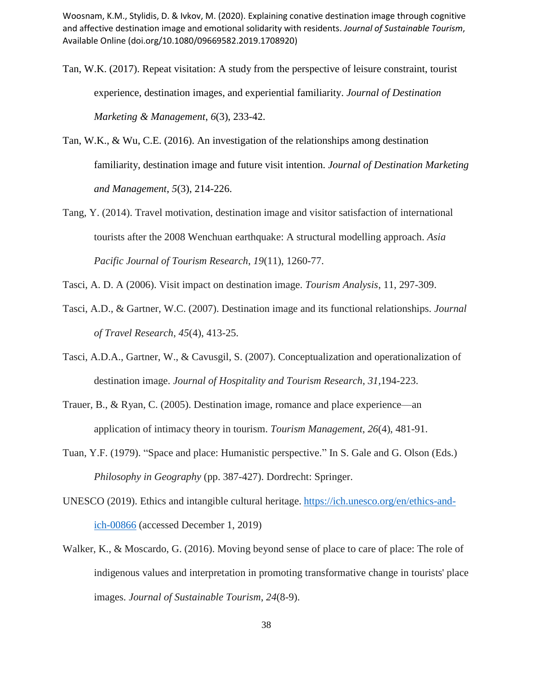- Tan, W.K. (2017). Repeat visitation: A study from the perspective of leisure constraint, tourist experience, destination images, and experiential familiarity. *Journal of Destination Marketing & Management*, *6*(3), 233-42.
- Tan, W.K., & Wu, C.E. (2016). An investigation of the relationships among destination familiarity, destination image and future visit intention. *Journal of Destination Marketing and Management*, *5*(3), 214-226.
- Tang, Y. (2014). Travel motivation, destination image and visitor satisfaction of international tourists after the 2008 Wenchuan earthquake: A structural modelling approach. *Asia Pacific Journal of Tourism Research*, *19*(11), 1260-77.
- Tasci, A. D. A (2006). Visit impact on destination image. *Tourism Analysis*, 11, 297-309.
- Tasci, A.D., & Gartner, W.C. (2007). Destination image and its functional relationships. *Journal of Travel Research*, *45*(4), 413-25.
- Tasci, A.D.A., Gartner, W., & Cavusgil, S. (2007). Conceptualization and operationalization of destination image. *Journal of Hospitality and Tourism Research*, *31,*194-223.
- Trauer, B., & Ryan, C. (2005). Destination image, romance and place experience—an application of intimacy theory in tourism. *Tourism Management*, *26*(4), 481-91.
- Tuan, Y.F. (1979). "Space and place: Humanistic perspective." In S. Gale and G. Olson (Eds.) *Philosophy in Geography* (pp. 387-427). Dordrecht: Springer.
- UNESCO (2019). Ethics and intangible cultural heritage. [https://ich.unesco.org/en/ethics-and](https://ich.unesco.org/en/ethics-and-ich-00866)[ich-00866](https://ich.unesco.org/en/ethics-and-ich-00866) (accessed December 1, 2019)
- Walker, K., & Moscardo, G. (2016). Moving beyond sense of place to care of place: The role of indigenous values and interpretation in promoting transformative change in tourists' place images. *Journal of Sustainable Tourism*, *24*(8-9).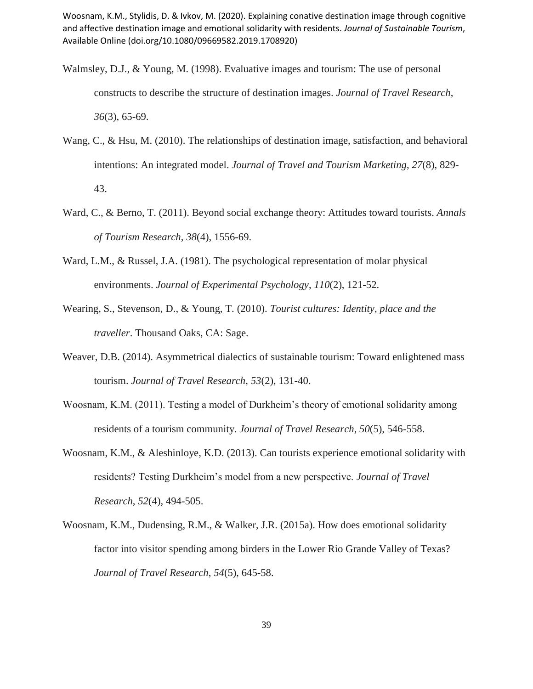- Walmsley, D.J., & Young, M. (1998). Evaluative images and tourism: The use of personal constructs to describe the structure of destination images. *Journal of Travel Research*, *36*(3), 65-69.
- Wang, C., & Hsu, M. (2010). The relationships of destination image, satisfaction, and behavioral intentions: An integrated model. *Journal of Travel and Tourism Marketing*, *27*(8), 829- 43.
- Ward, C., & Berno, T. (2011). Beyond social exchange theory: Attitudes toward tourists. *Annals of Tourism Research*, *38*(4), 1556-69.
- Ward, L.M., & Russel, J.A. (1981). The psychological representation of molar physical environments. *Journal of Experimental Psychology*, *110*(2), 121-52.
- Wearing, S., Stevenson, D., & Young, T. (2010). *Tourist cultures: Identity, place and the traveller*. Thousand Oaks, CA: Sage.
- Weaver, D.B. (2014). Asymmetrical dialectics of sustainable tourism: Toward enlightened mass tourism. *Journal of Travel Research*, *53*(2), 131-40.
- Woosnam, K.M. (2011). Testing a model of Durkheim's theory of emotional solidarity among residents of a tourism community. *Journal of Travel Research*, *50*(5), 546-558.
- Woosnam, K.M., & Aleshinloye, K.D. (2013). Can tourists experience emotional solidarity with residents? Testing Durkheim's model from a new perspective. *Journal of Travel Research*, *52*(4), 494-505.
- Woosnam, K.M., Dudensing, R.M., & Walker, J.R. (2015a). How does emotional solidarity factor into visitor spending among birders in the Lower Rio Grande Valley of Texas? *Journal of Travel Research*, *54*(5), 645-58.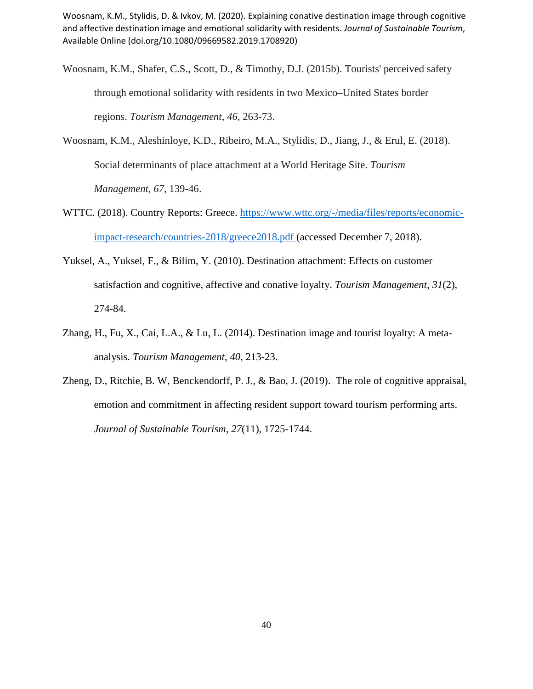- Woosnam, K.M., Shafer, C.S., Scott, D., & Timothy, D.J. (2015b). Tourists' perceived safety through emotional solidarity with residents in two Mexico–United States border regions. *Tourism Management*, *46*, 263-73.
- Woosnam, K.M., Aleshinloye, K.D., Ribeiro, M.A., Stylidis, D., Jiang, J., & Erul, E. (2018). Social determinants of place attachment at a World Heritage Site. *Tourism Management*, *67*, 139-46.
- WTTC. (2018). Country Reports: Greece. [https://www.wttc.org/-/media/files/reports/economic](https://www.wttc.org/-/media/files/reports/economic-impact-research/countries-2018/greece2018.pdf)[impact-research/countries-2018/greece2018.pdf](https://www.wttc.org/-/media/files/reports/economic-impact-research/countries-2018/greece2018.pdf) (accessed December 7, 2018).
- Yuksel, A., Yuksel, F., & Bilim, Y. (2010). Destination attachment: Effects on customer satisfaction and cognitive, affective and conative loyalty. *Tourism Management*, *31*(2), 274-84.
- Zhang, H., Fu, X., Cai, L.A., & Lu, L. (2014). Destination image and tourist loyalty: A metaanalysis. *Tourism Management*, *40*, 213-23.
- Zheng, D., Ritchie, B. W, Benckendorff, P. J., & Bao, J. (2019). The role of cognitive appraisal, emotion and commitment in affecting resident support toward tourism performing arts. *Journal of Sustainable Tourism*, *27*(11), 1725-1744.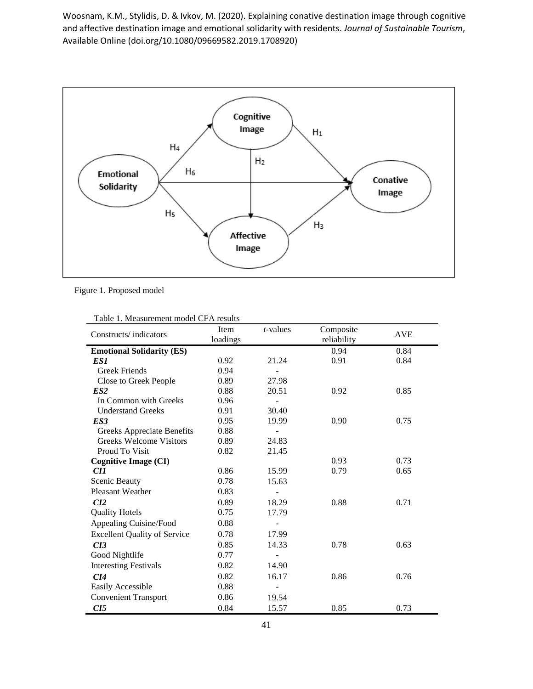

Figure 1. Proposed model

| $\sigma$ . The asservance in the contract $\sigma$ . The set<br>Constructs/indicators | $t$ -values<br>Item<br>loadings |                          | Composite   | <b>AVE</b> |  |
|---------------------------------------------------------------------------------------|---------------------------------|--------------------------|-------------|------------|--|
|                                                                                       |                                 |                          | reliability |            |  |
| <b>Emotional Solidarity (ES)</b>                                                      |                                 |                          | 0.94        | 0.84       |  |
| ES1                                                                                   | 0.92                            | 21.24                    | 0.91        | 0.84       |  |
| <b>Greek Friends</b>                                                                  | 0.94                            |                          |             |            |  |
| Close to Greek People                                                                 | 0.89                            | 27.98                    |             |            |  |
| ES2                                                                                   | 0.88                            | 20.51                    | 0.92        | 0.85       |  |
| In Common with Greeks                                                                 | 0.96                            |                          |             |            |  |
| <b>Understand Greeks</b>                                                              | 0.91                            | 30.40                    |             |            |  |
| ES <sub>3</sub>                                                                       | 0.95                            | 19.99                    | 0.90        | 0.75       |  |
| <b>Greeks Appreciate Benefits</b>                                                     | 0.88                            | $\overline{\phantom{0}}$ |             |            |  |
| <b>Greeks Welcome Visitors</b>                                                        | 0.89                            | 24.83                    |             |            |  |
| Proud To Visit                                                                        | 0.82                            | 21.45                    |             |            |  |
| <b>Cognitive Image (CI)</b>                                                           |                                 |                          | 0.93        | 0.73       |  |
| CI1                                                                                   | 0.86                            | 15.99                    | 0.79        | 0.65       |  |
| Scenic Beauty                                                                         | 0.78                            | 15.63                    |             |            |  |
| Pleasant Weather                                                                      | 0.83                            |                          |             |            |  |
| CI2                                                                                   | 0.89                            | 18.29                    | 0.88        | 0.71       |  |
| <b>Quality Hotels</b>                                                                 | 0.75                            | 17.79                    |             |            |  |
| Appealing Cuisine/Food                                                                | 0.88                            |                          |             |            |  |
| <b>Excellent Quality of Service</b>                                                   | 0.78                            | 17.99                    |             |            |  |
| CI3                                                                                   | 0.85                            | 14.33                    | 0.78        | 0.63       |  |
| Good Nightlife                                                                        | 0.77                            |                          |             |            |  |
| <b>Interesting Festivals</b>                                                          | 0.82                            | 14.90                    |             |            |  |
| C14                                                                                   | 0.82                            | 16.17                    | 0.86        | 0.76       |  |
| Easily Accessible                                                                     | 0.88                            |                          |             |            |  |
| <b>Convenient Transport</b>                                                           | 0.86                            | 19.54                    |             |            |  |
| CI5                                                                                   | 0.84                            | 15.57                    | 0.85        | 0.73       |  |